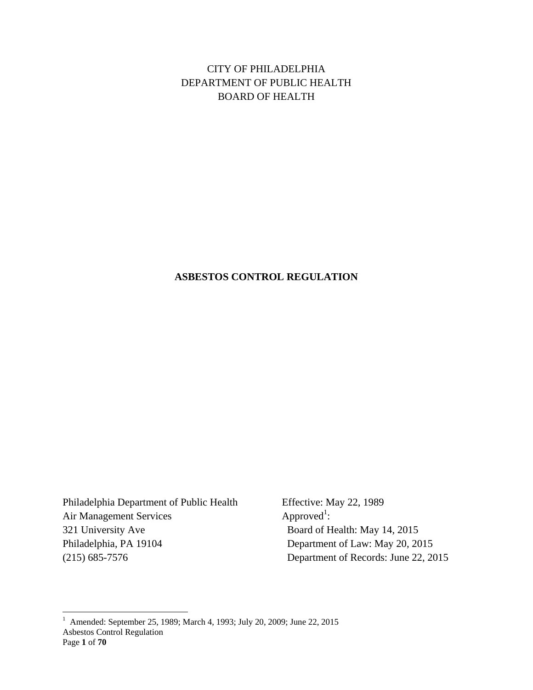CITY OF PHILADELPHIA DEPARTMENT OF PUBLIC HEALTH BOARD OF HEALTH

### **ASBESTOS CONTROL REGULATION**

Philadelphia Department of Public Health Effective: May 22, 1989 Air Management Services 321 University Ave Board of Health: May 14, 2015 Philadelphia, PA 19104 Department of Law: May 20, 2015 (215) 685-7576 Department of Records: June 22, 2015

Approved<sup>1</sup>:

Asbestos Control Regulation Page **1** of **70** 1 Amended: September 25, 1989; March 4, 1993; July 20, 2009; June 22, 2015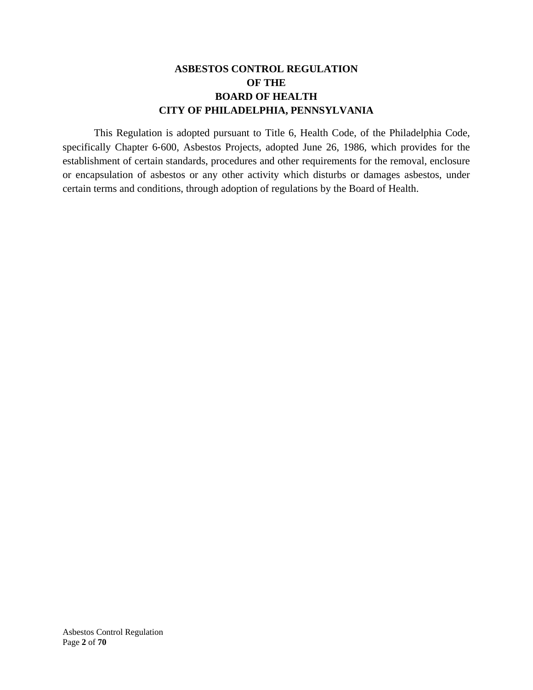## **ASBESTOS CONTROL REGULATION OF THE BOARD OF HEALTH CITY OF PHILADELPHIA, PENNSYLVANIA**

This Regulation is adopted pursuant to Title 6, Health Code, of the Philadelphia Code, specifically Chapter 6‐600, Asbestos Projects, adopted June 26, 1986, which provides for the establishment of certain standards, procedures and other requirements for the removal, enclosure or encapsulation of asbestos or any other activity which disturbs or damages asbestos, under certain terms and conditions, through adoption of regulations by the Board of Health.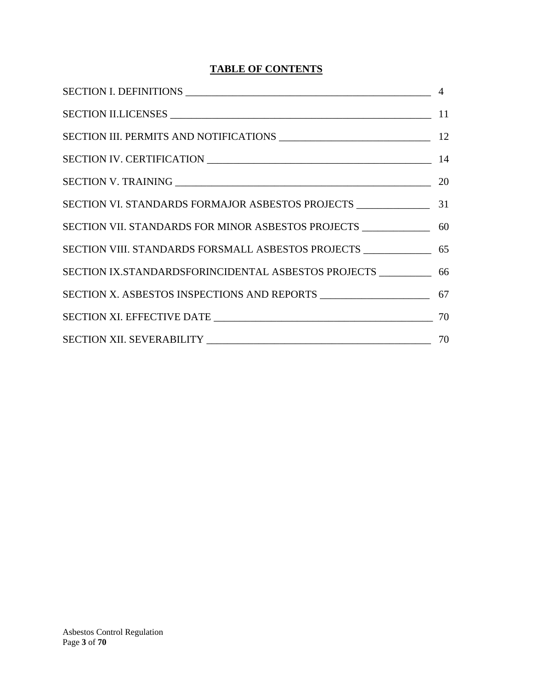# **TABLE OF CONTENTS**

| SECTION IX.STANDARDSFORINCIDENTAL ASBESTOS PROJECTS _____________ 66 |  |
|----------------------------------------------------------------------|--|
|                                                                      |  |
|                                                                      |  |
|                                                                      |  |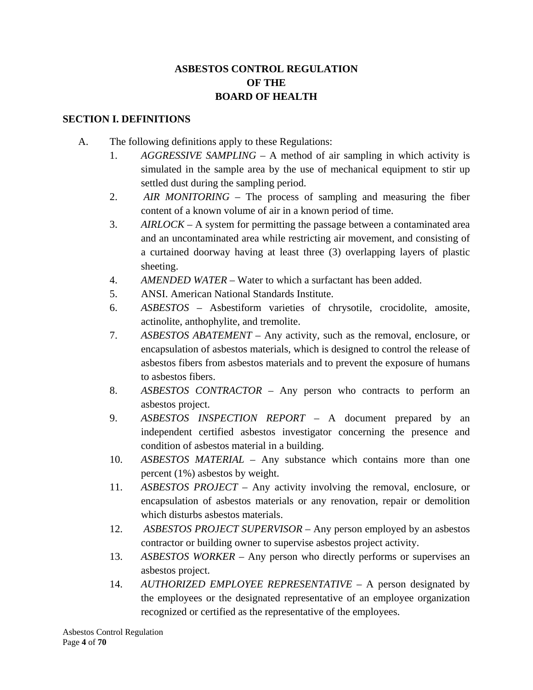# **ASBESTOS CONTROL REGULATION OF THE BOARD OF HEALTH**

### **SECTION I. DEFINITIONS**

- A. The following definitions apply to these Regulations:
	- 1. *AGGRESSIVE SAMPLING* A method of air sampling in which activity is simulated in the sample area by the use of mechanical equipment to stir up settled dust during the sampling period.
	- 2. *AIR MONITORING* The process of sampling and measuring the fiber content of a known volume of air in a known period of time.
	- 3. *AIRLOCK* A system for permitting the passage between a contaminated area and an uncontaminated area while restricting air movement, and consisting of a curtained doorway having at least three (3) overlapping layers of plastic sheeting.
	- 4. *AMENDED WATER* Water to which a surfactant has been added.
	- 5. ANSI. American National Standards Institute.
	- 6. *ASBESTOS* Asbestiform varieties of chrysotile, crocidolite, amosite, actinolite, anthophylite, and tremolite.
	- 7. *ASBESTOS ABATEMENT* Any activity, such as the removal, enclosure, or encapsulation of asbestos materials, which is designed to control the release of asbestos fibers from asbestos materials and to prevent the exposure of humans to asbestos fibers.
	- 8. *ASBESTOS CONTRACTOR* Any person who contracts to perform an asbestos project.
	- 9. *ASBESTOS INSPECTION REPORT* A document prepared by an independent certified asbestos investigator concerning the presence and condition of asbestos material in a building.
	- 10. *ASBESTOS MATERIAL* Any substance which contains more than one percent (1%) asbestos by weight.
	- 11. *ASBESTOS PROJECT* Any activity involving the removal, enclosure, or encapsulation of asbestos materials or any renovation, repair or demolition which disturbs asbestos materials.
	- 12. *ASBESTOS PROJECT SUPERVISOR* Any person employed by an asbestos contractor or building owner to supervise asbestos project activity.
	- 13. *ASBESTOS WORKER* Any person who directly performs or supervises an asbestos project.
	- 14. *AUTHORIZED EMPLOYEE REPRESENTATIVE* A person designated by the employees or the designated representative of an employee organization recognized or certified as the representative of the employees.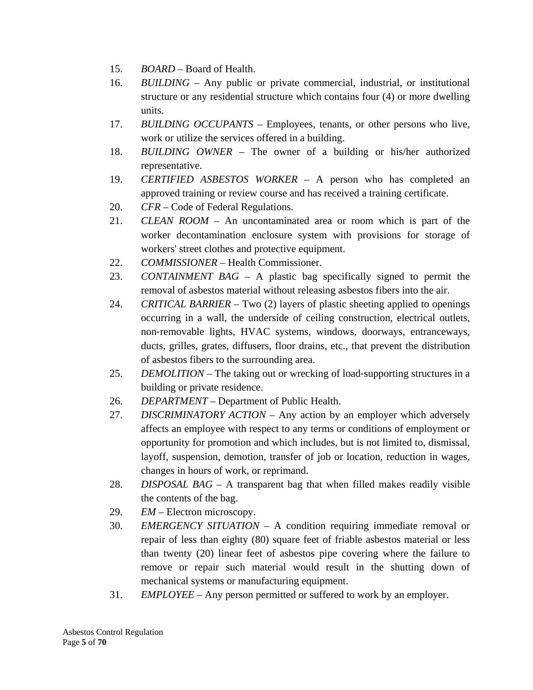- 15. *BOARD* Board of Health.
- 16. *BUILDING* Any public or private commercial, industrial, or institutional structure or any residential structure which contains four (4) or more dwelling units.
- 17. *BUILDING OCCUPANTS* Employees, tenants, or other persons who live, work or utilize the services offered in a building.
- 18. *BUILDING OWNER* The owner of a building or his/her authorized representative.
- 19. *CERTIFIED ASBESTOS WORKER* A person who has completed an approved training or review course and has received a training certificate.
- 20. *CFR* Code of Federal Regulations.
- 21. *CLEAN ROOM* An uncontaminated area or room which is part of the worker decontamination enclosure system with provisions for storage of workers' street clothes and protective equipment.
- 22. *COMMISSIONER* Health Commissioner.
- 23. *CONTAINMENT BAG* A plastic bag specifically signed to permit the removal of asbestos material without releasing asbestos fibers into the air.
- 24. *CRITICAL BARRIER* Two (2) layers of plastic sheeting applied to openings occurring in a wall, the underside of ceiling construction, electrical outlets, non‐removable lights, HVAC systems, windows, doorways, entranceways, ducts, grilles, grates, diffusers, floor drains, etc., that prevent the distribution of asbestos fibers to the surrounding area.
- 25. *DEMOLITION* The taking out or wrecking of load-supporting structures in a building or private residence.
- 26. *DEPARTMENT* Department of Public Health.
- 27. *DISCRIMINATORY ACTION* Any action by an employer which adversely affects an employee with respect to any terms or conditions of employment or opportunity for promotion and which includes, but is not limited to, dismissal, layoff, suspension, demotion, transfer of job or location, reduction in wages, changes in hours of work, or reprimand.
- 28. *DISPOSAL BAG* A transparent bag that when filled makes readily visible the contents of the bag.
- 29. *EM* Electron microscopy.
- 30. *EMERGENCY SITUATION* A condition requiring immediate removal or repair of less than eighty (80) square feet of friable asbestos material or less than twenty (20) linear feet of asbestos pipe covering where the failure to remove or repair such material would result in the shutting down of mechanical systems or manufacturing equipment.
- 31. *EMPLOYEE* Any person permitted or suffered to work by an employer.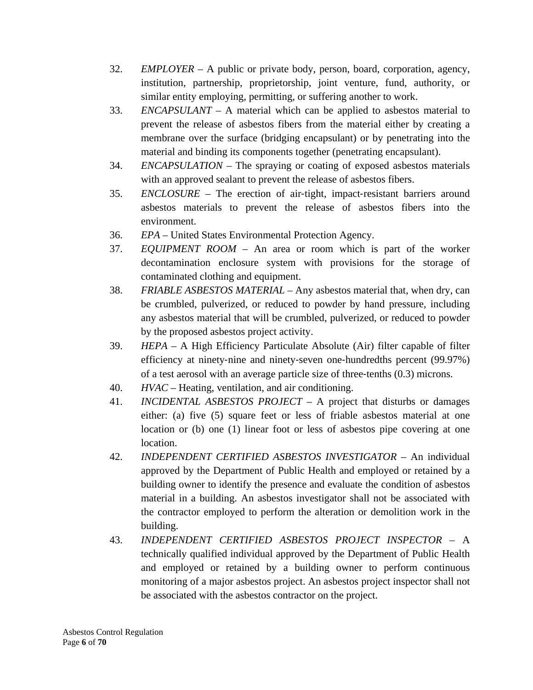- 32. *EMPLOYER* A public or private body, person, board, corporation, agency, institution, partnership, proprietorship, joint venture, fund, authority, or similar entity employing, permitting, or suffering another to work.
- 33. *ENCAPSULANT* A material which can be applied to asbestos material to prevent the release of asbestos fibers from the material either by creating a membrane over the surface (bridging encapsulant) or by penetrating into the material and binding its components together (penetrating encapsulant).
- 34. *ENCAPSULATION* The spraying or coating of exposed asbestos materials with an approved sealant to prevent the release of asbestos fibers.
- 35. *ENCLOSURE* The erection of air-tight, impact-resistant barriers around asbestos materials to prevent the release of asbestos fibers into the environment.
- 36. *EPA* United States Environmental Protection Agency.
- 37. *EQUIPMENT ROOM* An area or room which is part of the worker decontamination enclosure system with provisions for the storage of contaminated clothing and equipment.
- 38. *FRIABLE ASBESTOS MATERIAL* Any asbestos material that, when dry, can be crumbled, pulverized, or reduced to powder by hand pressure, including any asbestos material that will be crumbled, pulverized, or reduced to powder by the proposed asbestos project activity.
- 39. *HEPA* A High Efficiency Particulate Absolute (Air) filter capable of filter efficiency at ninety‐nine and ninety‐seven one‐hundredths percent (99.97%) of a test aerosol with an average particle size of three‐tenths (0.3) microns.
- 40. *HVAC* Heating, ventilation, and air conditioning.
- 41. *INCIDENTAL ASBESTOS PROJECT* A project that disturbs or damages either: (a) five (5) square feet or less of friable asbestos material at one location or (b) one (1) linear foot or less of asbestos pipe covering at one location.
- 42. *INDEPENDENT CERTIFIED ASBESTOS INVESTIGATOR* An individual approved by the Department of Public Health and employed or retained by a building owner to identify the presence and evaluate the condition of asbestos material in a building. An asbestos investigator shall not be associated with the contractor employed to perform the alteration or demolition work in the building.
- 43. *INDEPENDENT CERTIFIED ASBESTOS PROJECT INSPECTOR* A technically qualified individual approved by the Department of Public Health and employed or retained by a building owner to perform continuous monitoring of a major asbestos project. An asbestos project inspector shall not be associated with the asbestos contractor on the project.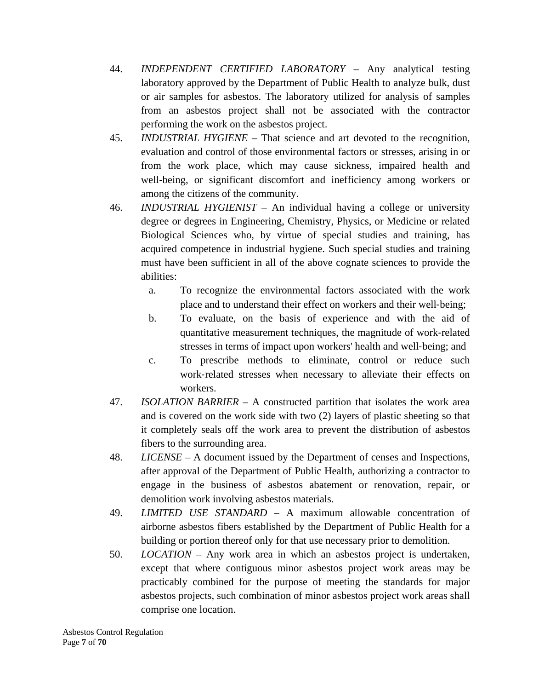- 44. *INDEPENDENT CERTIFIED LABORATORY* Any analytical testing laboratory approved by the Department of Public Health to analyze bulk, dust or air samples for asbestos. The laboratory utilized for analysis of samples from an asbestos project shall not be associated with the contractor performing the work on the asbestos project.
- 45. *INDUSTRIAL HYGIENE* That science and art devoted to the recognition, evaluation and control of those environmental factors or stresses, arising in or from the work place, which may cause sickness, impaired health and well-being, or significant discomfort and inefficiency among workers or among the citizens of the community.
- 46. *INDUSTRIAL HYGIENIST* An individual having a college or university degree or degrees in Engineering, Chemistry, Physics, or Medicine or related Biological Sciences who, by virtue of special studies and training, has acquired competence in industrial hygiene. Such special studies and training must have been sufficient in all of the above cognate sciences to provide the abilities:
	- a. To recognize the environmental factors associated with the work place and to understand their effect on workers and their well‐being;
	- b. To evaluate, on the basis of experience and with the aid of quantitative measurement techniques, the magnitude of work‐related stresses in terms of impact upon workers' health and well‐being; and
	- c. To prescribe methods to eliminate, control or reduce such work‐related stresses when necessary to alleviate their effects on workers.
- 47. *ISOLATION BARRIER* A constructed partition that isolates the work area and is covered on the work side with two (2) layers of plastic sheeting so that it completely seals off the work area to prevent the distribution of asbestos fibers to the surrounding area.
- 48. *LICENSE* A document issued by the Department of censes and Inspections, after approval of the Department of Public Health, authorizing a contractor to engage in the business of asbestos abatement or renovation, repair, or demolition work involving asbestos materials.
- 49. *LIMITED USE STANDARD* A maximum allowable concentration of airborne asbestos fibers established by the Department of Public Health for a building or portion thereof only for that use necessary prior to demolition.
- 50. *LOCATION* Any work area in which an asbestos project is undertaken, except that where contiguous minor asbestos project work areas may be practicably combined for the purpose of meeting the standards for major asbestos projects, such combination of minor asbestos project work areas shall comprise one location.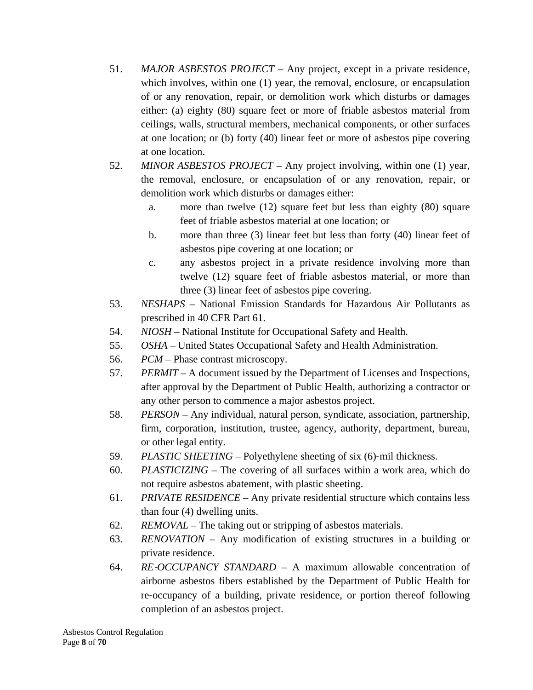- 51. *MAJOR ASBESTOS PROJECT* Any project, except in a private residence, which involves, within one (1) year, the removal, enclosure, or encapsulation of or any renovation, repair, or demolition work which disturbs or damages either: (a) eighty (80) square feet or more of friable asbestos material from ceilings, walls, structural members, mechanical components, or other surfaces at one location; or (b) forty (40) linear feet or more of asbestos pipe covering at one location.
- 52. *MINOR ASBESTOS PROJECT* Any project involving, within one (1) year, the removal, enclosure, or encapsulation of or any renovation, repair, or demolition work which disturbs or damages either:
	- a. more than twelve (12) square feet but less than eighty (80) square feet of friable asbestos material at one location; or
	- b. more than three (3) linear feet but less than forty (40) linear feet of asbestos pipe covering at one location; or
	- c. any asbestos project in a private residence involving more than twelve (12) square feet of friable asbestos material, or more than three (3) linear feet of asbestos pipe covering.
- 53. *NESHAPS* National Emission Standards for Hazardous Air Pollutants as prescribed in 40 CFR Part 61.
- 54. *NIOSH* National Institute for Occupational Safety and Health.
- 55. *OSHA* United States Occupational Safety and Health Administration.
- 56. *PCM* Phase contrast microscopy.
- 57. *PERMIT* A document issued by the Department of Licenses and Inspections, after approval by the Department of Public Health, authorizing a contractor or any other person to commence a major asbestos project.
- 58. *PERSON* Any individual, natural person, syndicate, association, partnership, firm, corporation, institution, trustee, agency, authority, department, bureau, or other legal entity.
- 59. *PLASTIC SHEETING* Polyethylene sheeting of six (6)-mil thickness.
- 60. *PLASTICIZING* The covering of all surfaces within a work area, which do not require asbestos abatement, with plastic sheeting.
- 61. *PRIVATE RESIDENCE* Any private residential structure which contains less than four (4) dwelling units.
- 62. *REMOVAL* The taking out or stripping of asbestos materials.
- 63. *RENOVATION* Any modification of existing structures in a building or private residence.
- 64. *RE*‐*OCCUPANCY STANDARD* A maximum allowable concentration of airborne asbestos fibers established by the Department of Public Health for re‐occupancy of a building, private residence, or portion thereof following completion of an asbestos project.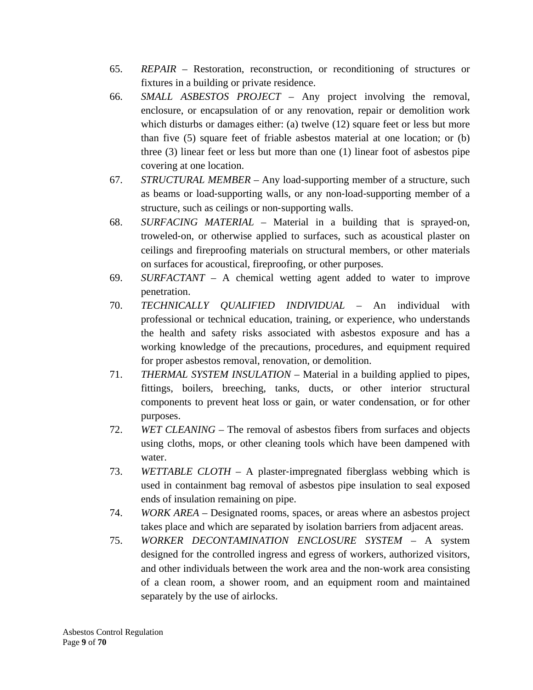- 65. *REPAIR* Restoration, reconstruction, or reconditioning of structures or fixtures in a building or private residence.
- 66. *SMALL ASBESTOS PROJECT* Any project involving the removal, enclosure, or encapsulation of or any renovation, repair or demolition work which disturbs or damages either: (a) twelve (12) square feet or less but more than five (5) square feet of friable asbestos material at one location; or (b) three (3) linear feet or less but more than one (1) linear foot of asbestos pipe covering at one location.
- 67. *STRUCTURAL MEMBER* Any load‐supporting member of a structure, such as beams or load‐supporting walls, or any non‐load‐supporting member of a structure, such as ceilings or non‐supporting walls.
- 68. *SURFACING MATERIAL* Material in a building that is sprayed‐on, troweled‐on, or otherwise applied to surfaces, such as acoustical plaster on ceilings and fireproofing materials on structural members, or other materials on surfaces for acoustical, fireproofing, or other purposes.
- 69. *SURFACTANT* A chemical wetting agent added to water to improve penetration.
- 70. *TECHNICALLY QUALIFIED INDIVIDUAL* An individual with professional or technical education, training, or experience, who understands the health and safety risks associated with asbestos exposure and has a working knowledge of the precautions, procedures, and equipment required for proper asbestos removal, renovation, or demolition.
- 71. *THERMAL SYSTEM INSULATION* Material in a building applied to pipes, fittings, boilers, breeching, tanks, ducts, or other interior structural components to prevent heat loss or gain, or water condensation, or for other purposes.
- 72. *WET CLEANING* The removal of asbestos fibers from surfaces and objects using cloths, mops, or other cleaning tools which have been dampened with water.
- 73. *WETTABLE CLOTH* A plaster‐impregnated fiberglass webbing which is used in containment bag removal of asbestos pipe insulation to seal exposed ends of insulation remaining on pipe.
- 74. *WORK AREA* Designated rooms, spaces, or areas where an asbestos project takes place and which are separated by isolation barriers from adjacent areas.
- 75. *WORKER DECONTAMINATION ENCLOSURE SYSTEM* A system designed for the controlled ingress and egress of workers, authorized visitors, and other individuals between the work area and the non‐work area consisting of a clean room, a shower room, and an equipment room and maintained separately by the use of airlocks.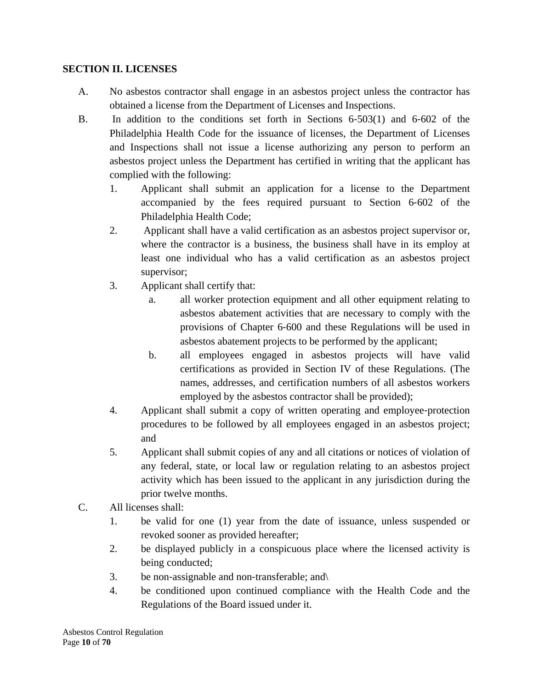### **SECTION II. LICENSES**

- A. No asbestos contractor shall engage in an asbestos project unless the contractor has obtained a license from the Department of Licenses and Inspections.
- B. In addition to the conditions set forth in Sections 6‐503(1) and 6‐602 of the Philadelphia Health Code for the issuance of licenses, the Department of Licenses and Inspections shall not issue a license authorizing any person to perform an asbestos project unless the Department has certified in writing that the applicant has complied with the following:
	- 1. Applicant shall submit an application for a license to the Department accompanied by the fees required pursuant to Section 6‐602 of the Philadelphia Health Code;
	- 2. Applicant shall have a valid certification as an asbestos project supervisor or, where the contractor is a business, the business shall have in its employ at least one individual who has a valid certification as an asbestos project supervisor;
	- 3. Applicant shall certify that:
		- a. all worker protection equipment and all other equipment relating to asbestos abatement activities that are necessary to comply with the provisions of Chapter 6‐600 and these Regulations will be used in asbestos abatement projects to be performed by the applicant;
		- b. all employees engaged in asbestos projects will have valid certifications as provided in Section IV of these Regulations. (The names, addresses, and certification numbers of all asbestos workers employed by the asbestos contractor shall be provided);
	- 4. Applicant shall submit a copy of written operating and employee-protection procedures to be followed by all employees engaged in an asbestos project; and
	- 5. Applicant shall submit copies of any and all citations or notices of violation of any federal, state, or local law or regulation relating to an asbestos project activity which has been issued to the applicant in any jurisdiction during the prior twelve months.
- C. All licenses shall:
	- 1. be valid for one (1) year from the date of issuance, unless suspended or revoked sooner as provided hereafter;
	- 2. be displayed publicly in a conspicuous place where the licensed activity is being conducted;
	- 3. be non-assignable and non-transferable; and \
	- 4. be conditioned upon continued compliance with the Health Code and the Regulations of the Board issued under it.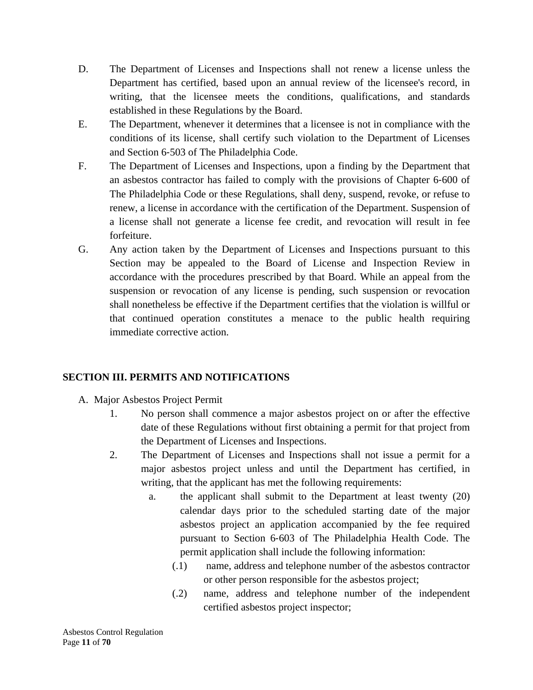- D. The Department of Licenses and Inspections shall not renew a license unless the Department has certified, based upon an annual review of the licensee's record, in writing, that the licensee meets the conditions, qualifications, and standards established in these Regulations by the Board.
- E. The Department, whenever it determines that a licensee is not in compliance with the conditions of its license, shall certify such violation to the Department of Licenses and Section 6‐503 of The Philadelphia Code.
- F. The Department of Licenses and Inspections, upon a finding by the Department that an asbestos contractor has failed to comply with the provisions of Chapter 6‐600 of The Philadelphia Code or these Regulations, shall deny, suspend, revoke, or refuse to renew, a license in accordance with the certification of the Department. Suspension of a license shall not generate a license fee credit, and revocation will result in fee forfeiture.
- G. Any action taken by the Department of Licenses and Inspections pursuant to this Section may be appealed to the Board of License and Inspection Review in accordance with the procedures prescribed by that Board. While an appeal from the suspension or revocation of any license is pending, such suspension or revocation shall nonetheless be effective if the Department certifies that the violation is willful or that continued operation constitutes a menace to the public health requiring immediate corrective action.

## **SECTION III. PERMITS AND NOTIFICATIONS**

- A. Major Asbestos Project Permit
	- 1. No person shall commence a major asbestos project on or after the effective date of these Regulations without first obtaining a permit for that project from the Department of Licenses and Inspections.
	- 2. The Department of Licenses and Inspections shall not issue a permit for a major asbestos project unless and until the Department has certified, in writing, that the applicant has met the following requirements:
		- a. the applicant shall submit to the Department at least twenty (20) calendar days prior to the scheduled starting date of the major asbestos project an application accompanied by the fee required pursuant to Section 6‐603 of The Philadelphia Health Code. The permit application shall include the following information:
			- (.1) name, address and telephone number of the asbestos contractor or other person responsible for the asbestos project;
			- (.2) name, address and telephone number of the independent certified asbestos project inspector;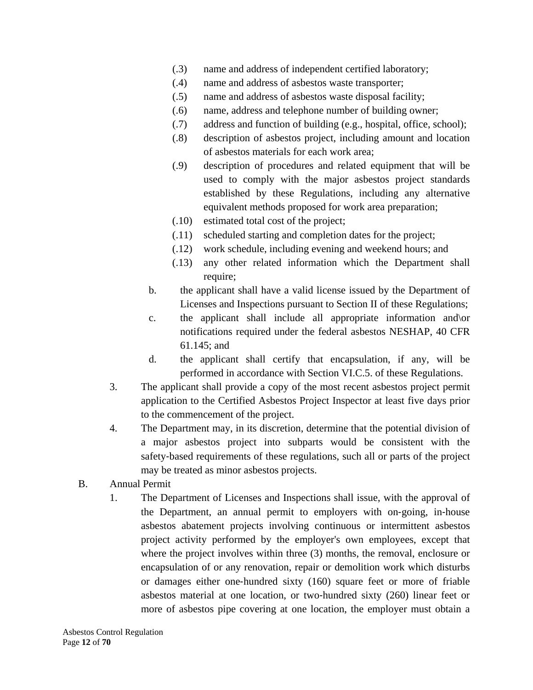- (.3) name and address of independent certified laboratory;
- (.4) name and address of asbestos waste transporter;
- (.5) name and address of asbestos waste disposal facility;
- (.6) name, address and telephone number of building owner;
- (.7) address and function of building (e.g., hospital, office, school);
- (.8) description of asbestos project, including amount and location of asbestos materials for each work area;
- (.9) description of procedures and related equipment that will be used to comply with the major asbestos project standards established by these Regulations, including any alternative equivalent methods proposed for work area preparation;
- (.10) estimated total cost of the project;
- (.11) scheduled starting and completion dates for the project;
- (.12) work schedule, including evening and weekend hours; and
- (.13) any other related information which the Department shall require;
- b. the applicant shall have a valid license issued by the Department of Licenses and Inspections pursuant to Section II of these Regulations;
- c. the applicant shall include all appropriate information and\or notifications required under the federal asbestos NESHAP, 40 CFR 61.145; and
- d. the applicant shall certify that encapsulation, if any, will be performed in accordance with Section VI.C.5. of these Regulations.
- 3. The applicant shall provide a copy of the most recent asbestos project permit application to the Certified Asbestos Project Inspector at least five days prior to the commencement of the project.
- 4. The Department may, in its discretion, determine that the potential division of a major asbestos project into subparts would be consistent with the safety-based requirements of these regulations, such all or parts of the project may be treated as minor asbestos projects.
- B. Annual Permit
	- 1. The Department of Licenses and Inspections shall issue, with the approval of the Department, an annual permit to employers with on‐going, in‐house asbestos abatement projects involving continuous or intermittent asbestos project activity performed by the employer's own employees, except that where the project involves within three (3) months, the removal, enclosure or encapsulation of or any renovation, repair or demolition work which disturbs or damages either one‐hundred sixty (160) square feet or more of friable asbestos material at one location, or two-hundred sixty (260) linear feet or more of asbestos pipe covering at one location, the employer must obtain a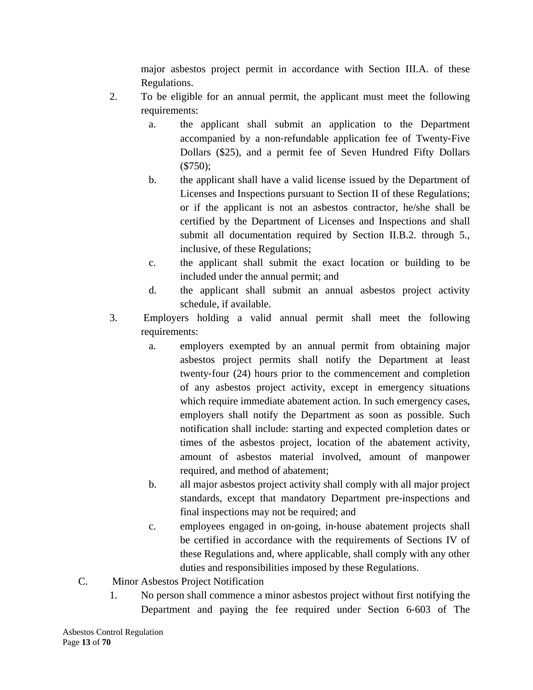major asbestos project permit in accordance with Section III.A. of these Regulations.

- 2. To be eligible for an annual permit, the applicant must meet the following requirements:
	- a. the applicant shall submit an application to the Department accompanied by a non‐refundable application fee of Twenty‐Five Dollars (\$25), and a permit fee of Seven Hundred Fifty Dollars (\$750);
	- b. the applicant shall have a valid license issued by the Department of Licenses and Inspections pursuant to Section II of these Regulations; or if the applicant is not an asbestos contractor, he/she shall be certified by the Department of Licenses and Inspections and shall submit all documentation required by Section II.B.2. through 5., inclusive, of these Regulations;
	- c. the applicant shall submit the exact location or building to be included under the annual permit; and
	- d. the applicant shall submit an annual asbestos project activity schedule, if available.
- 3. Employers holding a valid annual permit shall meet the following requirements:
	- a. employers exempted by an annual permit from obtaining major asbestos project permits shall notify the Department at least twenty‐four (24) hours prior to the commencement and completion of any asbestos project activity, except in emergency situations which require immediate abatement action. In such emergency cases, employers shall notify the Department as soon as possible. Such notification shall include: starting and expected completion dates or times of the asbestos project, location of the abatement activity, amount of asbestos material involved, amount of manpower required, and method of abatement;
	- b. all major asbestos project activity shall comply with all major project standards, except that mandatory Department pre‐inspections and final inspections may not be required; and
	- c. employees engaged in on‐going, in‐house abatement projects shall be certified in accordance with the requirements of Sections IV of these Regulations and, where applicable, shall comply with any other duties and responsibilities imposed by these Regulations.
- C. Minor Asbestos Project Notification
	- 1. No person shall commence a minor asbestos project without first notifying the Department and paying the fee required under Section 6‐603 of The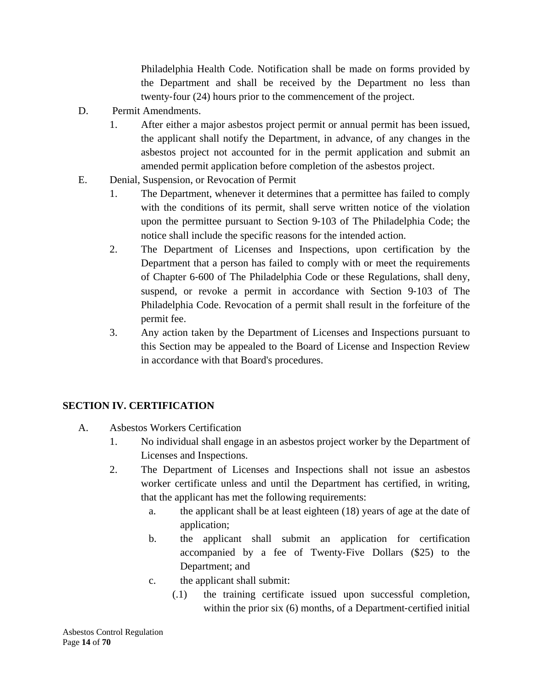Philadelphia Health Code. Notification shall be made on forms provided by the Department and shall be received by the Department no less than twenty‐four (24) hours prior to the commencement of the project.

- D. Permit Amendments.
	- 1. After either a major asbestos project permit or annual permit has been issued, the applicant shall notify the Department, in advance, of any changes in the asbestos project not accounted for in the permit application and submit an amended permit application before completion of the asbestos project.
- E. Denial, Suspension, or Revocation of Permit
	- 1. The Department, whenever it determines that a permittee has failed to comply with the conditions of its permit, shall serve written notice of the violation upon the permittee pursuant to Section 9‐103 of The Philadelphia Code; the notice shall include the specific reasons for the intended action.
	- 2. The Department of Licenses and Inspections, upon certification by the Department that a person has failed to comply with or meet the requirements of Chapter 6‐600 of The Philadelphia Code or these Regulations, shall deny, suspend, or revoke a permit in accordance with Section 9‐103 of The Philadelphia Code. Revocation of a permit shall result in the forfeiture of the permit fee.
	- 3. Any action taken by the Department of Licenses and Inspections pursuant to this Section may be appealed to the Board of License and Inspection Review in accordance with that Board's procedures.

## **SECTION IV. CERTIFICATION**

- A. Asbestos Workers Certification
	- 1. No individual shall engage in an asbestos project worker by the Department of Licenses and Inspections.
	- 2. The Department of Licenses and Inspections shall not issue an asbestos worker certificate unless and until the Department has certified, in writing, that the applicant has met the following requirements:
		- a. the applicant shall be at least eighteen (18) years of age at the date of application;
		- b. the applicant shall submit an application for certification accompanied by a fee of Twenty‐Five Dollars (\$25) to the Department; and
		- c. the applicant shall submit:
			- (.1) the training certificate issued upon successful completion, within the prior six (6) months, of a Department-certified initial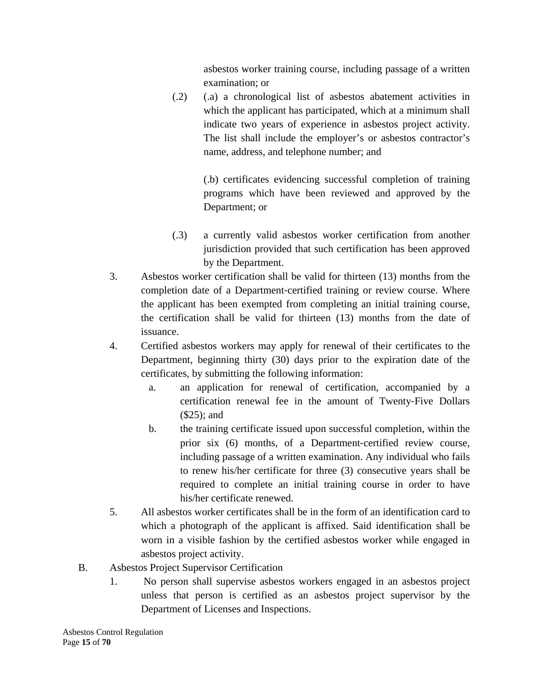asbestos worker training course, including passage of a written examination; or

(.2) (.a) a chronological list of asbestos abatement activities in which the applicant has participated, which at a minimum shall indicate two years of experience in asbestos project activity. The list shall include the employer's or asbestos contractor's name, address, and telephone number; and

> (.b) certificates evidencing successful completion of training programs which have been reviewed and approved by the Department; or

- (.3) a currently valid asbestos worker certification from another jurisdiction provided that such certification has been approved by the Department.
- 3. Asbestos worker certification shall be valid for thirteen (13) months from the completion date of a Department-certified training or review course. Where the applicant has been exempted from completing an initial training course, the certification shall be valid for thirteen (13) months from the date of issuance.
- 4. Certified asbestos workers may apply for renewal of their certificates to the Department, beginning thirty (30) days prior to the expiration date of the certificates, by submitting the following information:
	- a. an application for renewal of certification, accompanied by a certification renewal fee in the amount of Twenty‐Five Dollars (\$25); and
	- b. the training certificate issued upon successful completion, within the prior six (6) months, of a Department-certified review course, including passage of a written examination. Any individual who fails to renew his/her certificate for three (3) consecutive years shall be required to complete an initial training course in order to have his/her certificate renewed.
- 5. All asbestos worker certificates shall be in the form of an identification card to which a photograph of the applicant is affixed. Said identification shall be worn in a visible fashion by the certified asbestos worker while engaged in asbestos project activity.
- B. Asbestos Project Supervisor Certification
	- 1. No person shall supervise asbestos workers engaged in an asbestos project unless that person is certified as an asbestos project supervisor by the Department of Licenses and Inspections.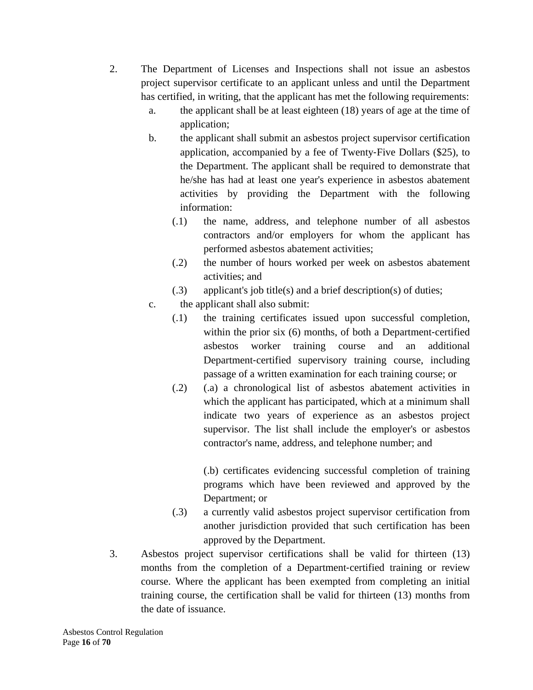- 2. The Department of Licenses and Inspections shall not issue an asbestos project supervisor certificate to an applicant unless and until the Department has certified, in writing, that the applicant has met the following requirements:
	- a. the applicant shall be at least eighteen (18) years of age at the time of application;
	- b. the applicant shall submit an asbestos project supervisor certification application, accompanied by a fee of Twenty‐Five Dollars (\$25), to the Department. The applicant shall be required to demonstrate that he/she has had at least one year's experience in asbestos abatement activities by providing the Department with the following information:
		- (.1) the name, address, and telephone number of all asbestos contractors and/or employers for whom the applicant has performed asbestos abatement activities;
		- (.2) the number of hours worked per week on asbestos abatement activities; and
		- (.3) applicant's job title(s) and a brief description(s) of duties;
	- c. the applicant shall also submit:
		- (.1) the training certificates issued upon successful completion, within the prior six (6) months, of both a Department-certified asbestos worker training course and an additional Department-certified supervisory training course, including passage of a written examination for each training course; or
		- (.2) (.a) a chronological list of asbestos abatement activities in which the applicant has participated, which at a minimum shall indicate two years of experience as an asbestos project supervisor. The list shall include the employer's or asbestos contractor's name, address, and telephone number; and

(.b) certificates evidencing successful completion of training programs which have been reviewed and approved by the Department; or

- (.3) a currently valid asbestos project supervisor certification from another jurisdiction provided that such certification has been approved by the Department.
- 3. Asbestos project supervisor certifications shall be valid for thirteen (13) months from the completion of a Department-certified training or review course. Where the applicant has been exempted from completing an initial training course, the certification shall be valid for thirteen (13) months from the date of issuance.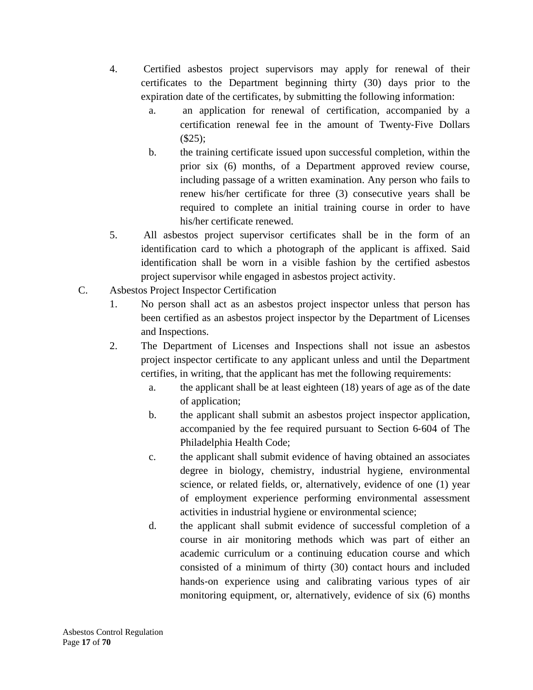- 4. Certified asbestos project supervisors may apply for renewal of their certificates to the Department beginning thirty (30) days prior to the expiration date of the certificates, by submitting the following information:
	- a. an application for renewal of certification, accompanied by a certification renewal fee in the amount of Twenty‐Five Dollars (\$25);
	- b. the training certificate issued upon successful completion, within the prior six (6) months, of a Department approved review course, including passage of a written examination. Any person who fails to renew his/her certificate for three (3) consecutive years shall be required to complete an initial training course in order to have his/her certificate renewed.
- 5. All asbestos project supervisor certificates shall be in the form of an identification card to which a photograph of the applicant is affixed. Said identification shall be worn in a visible fashion by the certified asbestos project supervisor while engaged in asbestos project activity.
- C. Asbestos Project Inspector Certification
	- 1. No person shall act as an asbestos project inspector unless that person has been certified as an asbestos project inspector by the Department of Licenses and Inspections.
	- 2. The Department of Licenses and Inspections shall not issue an asbestos project inspector certificate to any applicant unless and until the Department certifies, in writing, that the applicant has met the following requirements:
		- a. the applicant shall be at least eighteen (18) years of age as of the date of application;
		- b. the applicant shall submit an asbestos project inspector application, accompanied by the fee required pursuant to Section 6‐604 of The Philadelphia Health Code;
		- c. the applicant shall submit evidence of having obtained an associates degree in biology, chemistry, industrial hygiene, environmental science, or related fields, or, alternatively, evidence of one (1) year of employment experience performing environmental assessment activities in industrial hygiene or environmental science;
		- d. the applicant shall submit evidence of successful completion of a course in air monitoring methods which was part of either an academic curriculum or a continuing education course and which consisted of a minimum of thirty (30) contact hours and included hands-on experience using and calibrating various types of air monitoring equipment, or, alternatively, evidence of six (6) months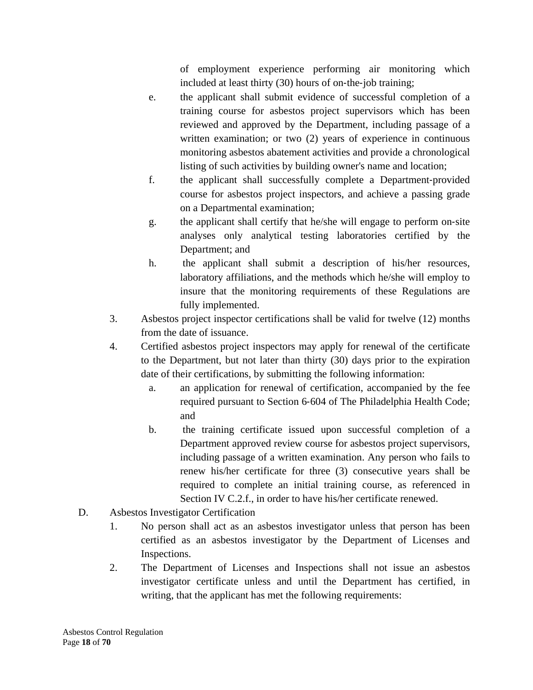of employment experience performing air monitoring which included at least thirty (30) hours of on-the-job training;

- e. the applicant shall submit evidence of successful completion of a training course for asbestos project supervisors which has been reviewed and approved by the Department, including passage of a written examination; or two (2) years of experience in continuous monitoring asbestos abatement activities and provide a chronological listing of such activities by building owner's name and location;
- f. the applicant shall successfully complete a Department‐provided course for asbestos project inspectors, and achieve a passing grade on a Departmental examination;
- g. the applicant shall certify that he/she will engage to perform on-site analyses only analytical testing laboratories certified by the Department; and
- h. the applicant shall submit a description of his/her resources, laboratory affiliations, and the methods which he/she will employ to insure that the monitoring requirements of these Regulations are fully implemented.
- 3. Asbestos project inspector certifications shall be valid for twelve (12) months from the date of issuance.
- 4. Certified asbestos project inspectors may apply for renewal of the certificate to the Department, but not later than thirty (30) days prior to the expiration date of their certifications, by submitting the following information:
	- a. an application for renewal of certification, accompanied by the fee required pursuant to Section 6‐604 of The Philadelphia Health Code; and
	- b. the training certificate issued upon successful completion of a Department approved review course for asbestos project supervisors, including passage of a written examination. Any person who fails to renew his/her certificate for three (3) consecutive years shall be required to complete an initial training course, as referenced in Section IV C.2.f., in order to have his/her certificate renewed.
- D. Asbestos Investigator Certification
	- 1. No person shall act as an asbestos investigator unless that person has been certified as an asbestos investigator by the Department of Licenses and Inspections.
	- 2. The Department of Licenses and Inspections shall not issue an asbestos investigator certificate unless and until the Department has certified, in writing, that the applicant has met the following requirements: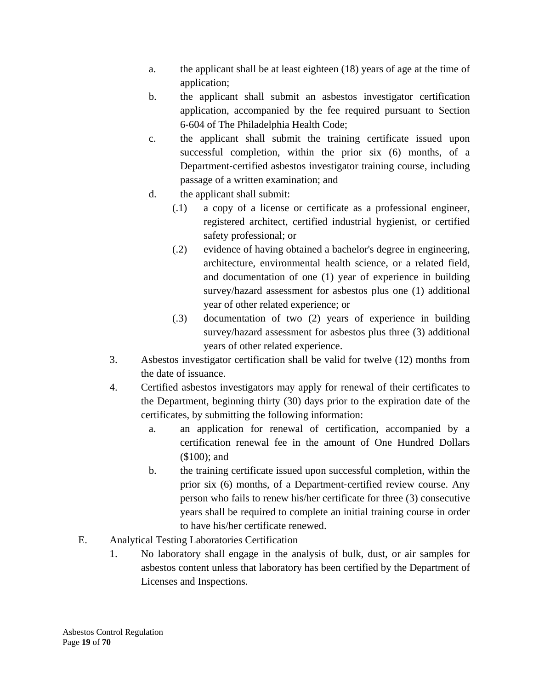- a. the applicant shall be at least eighteen (18) years of age at the time of application;
- b. the applicant shall submit an asbestos investigator certification application, accompanied by the fee required pursuant to Section 6‐604 of The Philadelphia Health Code;
- c. the applicant shall submit the training certificate issued upon successful completion, within the prior six (6) months, of a Department-certified asbestos investigator training course, including passage of a written examination; and
- d. the applicant shall submit:
	- (.1) a copy of a license or certificate as a professional engineer, registered architect, certified industrial hygienist, or certified safety professional; or
	- (.2) evidence of having obtained a bachelor's degree in engineering, architecture, environmental health science, or a related field, and documentation of one (1) year of experience in building survey/hazard assessment for asbestos plus one (1) additional year of other related experience; or
	- (.3) documentation of two (2) years of experience in building survey/hazard assessment for asbestos plus three (3) additional years of other related experience.
- 3. Asbestos investigator certification shall be valid for twelve (12) months from the date of issuance.
- 4. Certified asbestos investigators may apply for renewal of their certificates to the Department, beginning thirty (30) days prior to the expiration date of the certificates, by submitting the following information:
	- a. an application for renewal of certification, accompanied by a certification renewal fee in the amount of One Hundred Dollars (\$100); and
	- b. the training certificate issued upon successful completion, within the prior six (6) months, of a Department‐certified review course. Any person who fails to renew his/her certificate for three (3) consecutive years shall be required to complete an initial training course in order to have his/her certificate renewed.
- E. Analytical Testing Laboratories Certification
	- 1. No laboratory shall engage in the analysis of bulk, dust, or air samples for asbestos content unless that laboratory has been certified by the Department of Licenses and Inspections.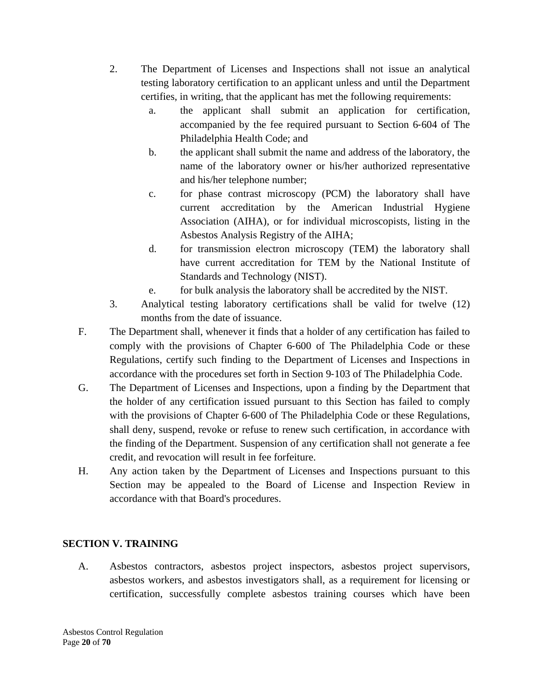- 2. The Department of Licenses and Inspections shall not issue an analytical testing laboratory certification to an applicant unless and until the Department certifies, in writing, that the applicant has met the following requirements:
	- a. the applicant shall submit an application for certification, accompanied by the fee required pursuant to Section 6‐604 of The Philadelphia Health Code; and
	- b. the applicant shall submit the name and address of the laboratory, the name of the laboratory owner or his/her authorized representative and his/her telephone number;
	- c. for phase contrast microscopy (PCM) the laboratory shall have current accreditation by the American Industrial Hygiene Association (AIHA), or for individual microscopists, listing in the Asbestos Analysis Registry of the AIHA;
	- d. for transmission electron microscopy (TEM) the laboratory shall have current accreditation for TEM by the National Institute of Standards and Technology (NIST).
	- e. for bulk analysis the laboratory shall be accredited by the NIST.
- 3. Analytical testing laboratory certifications shall be valid for twelve (12) months from the date of issuance.
- F. The Department shall, whenever it finds that a holder of any certification has failed to comply with the provisions of Chapter 6‐600 of The Philadelphia Code or these Regulations, certify such finding to the Department of Licenses and Inspections in accordance with the procedures set forth in Section 9‐103 of The Philadelphia Code.
- G. The Department of Licenses and Inspections, upon a finding by the Department that the holder of any certification issued pursuant to this Section has failed to comply with the provisions of Chapter 6-600 of The Philadelphia Code or these Regulations, shall deny, suspend, revoke or refuse to renew such certification, in accordance with the finding of the Department. Suspension of any certification shall not generate a fee credit, and revocation will result in fee forfeiture.
- H. Any action taken by the Department of Licenses and Inspections pursuant to this Section may be appealed to the Board of License and Inspection Review in accordance with that Board's procedures.

## **SECTION V. TRAINING**

A. Asbestos contractors, asbestos project inspectors, asbestos project supervisors, asbestos workers, and asbestos investigators shall, as a requirement for licensing or certification, successfully complete asbestos training courses which have been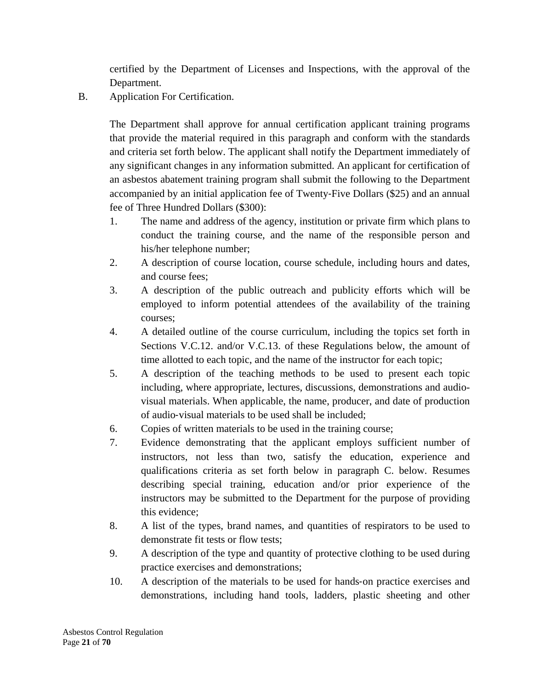certified by the Department of Licenses and Inspections, with the approval of the Department.

B. Application For Certification.

The Department shall approve for annual certification applicant training programs that provide the material required in this paragraph and conform with the standards and criteria set forth below. The applicant shall notify the Department immediately of any significant changes in any information submitted. An applicant for certification of an asbestos abatement training program shall submit the following to the Department accompanied by an initial application fee of Twenty‐Five Dollars (\$25) and an annual fee of Three Hundred Dollars (\$300):

- 1. The name and address of the agency, institution or private firm which plans to conduct the training course, and the name of the responsible person and his/her telephone number;
- 2. A description of course location, course schedule, including hours and dates, and course fees;
- 3. A description of the public outreach and publicity efforts which will be employed to inform potential attendees of the availability of the training courses;
- 4. A detailed outline of the course curriculum, including the topics set forth in Sections V.C.12. and/or V.C.13. of these Regulations below, the amount of time allotted to each topic, and the name of the instructor for each topic;
- 5. A description of the teaching methods to be used to present each topic including, where appropriate, lectures, discussions, demonstrations and audiovisual materials. When applicable, the name, producer, and date of production of audio‐visual materials to be used shall be included;
- 6. Copies of written materials to be used in the training course;
- 7. Evidence demonstrating that the applicant employs sufficient number of instructors, not less than two, satisfy the education, experience and qualifications criteria as set forth below in paragraph C. below. Resumes describing special training, education and/or prior experience of the instructors may be submitted to the Department for the purpose of providing this evidence;
- 8. A list of the types, brand names, and quantities of respirators to be used to demonstrate fit tests or flow tests;
- 9. A description of the type and quantity of protective clothing to be used during practice exercises and demonstrations;
- 10. A description of the materials to be used for hands‐on practice exercises and demonstrations, including hand tools, ladders, plastic sheeting and other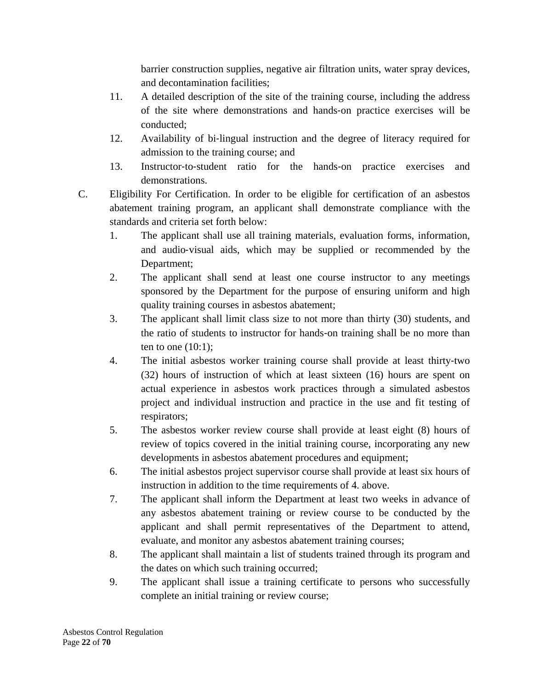barrier construction supplies, negative air filtration units, water spray devices, and decontamination facilities;

- 11. A detailed description of the site of the training course, including the address of the site where demonstrations and hands‐on practice exercises will be conducted;
- 12. Availability of bi-lingual instruction and the degree of literacy required for admission to the training course; and
- 13. Instructor‐to‐student ratio for the hands‐on practice exercises and demonstrations.
- C. Eligibility For Certification. In order to be eligible for certification of an asbestos abatement training program, an applicant shall demonstrate compliance with the standards and criteria set forth below:
	- 1. The applicant shall use all training materials, evaluation forms, information, and audio‐visual aids, which may be supplied or recommended by the Department;
	- 2. The applicant shall send at least one course instructor to any meetings sponsored by the Department for the purpose of ensuring uniform and high quality training courses in asbestos abatement;
	- 3. The applicant shall limit class size to not more than thirty (30) students, and the ratio of students to instructor for hands‐on training shall be no more than ten to one  $(10:1)$ ;
	- 4. The initial asbestos worker training course shall provide at least thirty-two (32) hours of instruction of which at least sixteen (16) hours are spent on actual experience in asbestos work practices through a simulated asbestos project and individual instruction and practice in the use and fit testing of respirators;
	- 5. The asbestos worker review course shall provide at least eight (8) hours of review of topics covered in the initial training course, incorporating any new developments in asbestos abatement procedures and equipment;
	- 6. The initial asbestos project supervisor course shall provide at least six hours of instruction in addition to the time requirements of 4. above.
	- 7. The applicant shall inform the Department at least two weeks in advance of any asbestos abatement training or review course to be conducted by the applicant and shall permit representatives of the Department to attend, evaluate, and monitor any asbestos abatement training courses;
	- 8. The applicant shall maintain a list of students trained through its program and the dates on which such training occurred;
	- 9. The applicant shall issue a training certificate to persons who successfully complete an initial training or review course;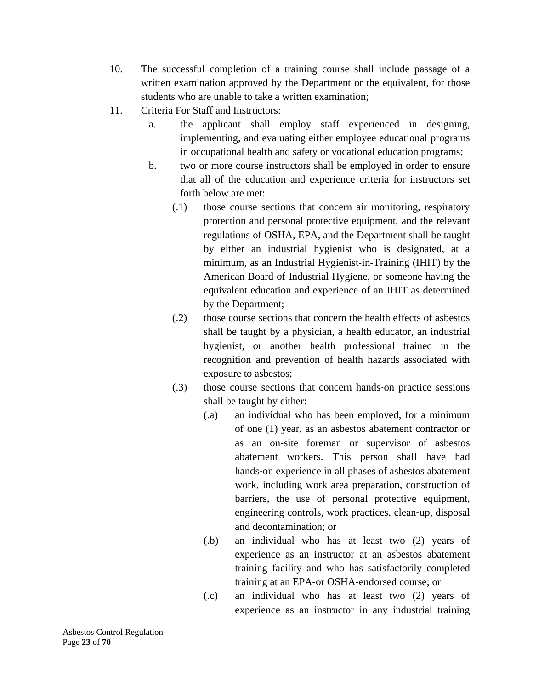- 10. The successful completion of a training course shall include passage of a written examination approved by the Department or the equivalent, for those students who are unable to take a written examination;
- 11. Criteria For Staff and Instructors:
	- a. the applicant shall employ staff experienced in designing, implementing, and evaluating either employee educational programs in occupational health and safety or vocational education programs;
	- b. two or more course instructors shall be employed in order to ensure that all of the education and experience criteria for instructors set forth below are met:
		- (.1) those course sections that concern air monitoring, respiratory protection and personal protective equipment, and the relevant regulations of OSHA, EPA, and the Department shall be taught by either an industrial hygienist who is designated, at a minimum, as an Industrial Hygienist-in-Training (IHIT) by the American Board of Industrial Hygiene, or someone having the equivalent education and experience of an IHIT as determined by the Department;
		- (.2) those course sections that concern the health effects of asbestos shall be taught by a physician, a health educator, an industrial hygienist, or another health professional trained in the recognition and prevention of health hazards associated with exposure to asbestos;
		- (.3) those course sections that concern hands‐on practice sessions shall be taught by either:
			- (.a) an individual who has been employed, for a minimum of one (1) year, as an asbestos abatement contractor or as an on‐site foreman or supervisor of asbestos abatement workers. This person shall have had hands‐on experience in all phases of asbestos abatement work, including work area preparation, construction of barriers, the use of personal protective equipment, engineering controls, work practices, clean‐up, disposal and decontamination; or
			- (.b) an individual who has at least two (2) years of experience as an instructor at an asbestos abatement training facility and who has satisfactorily completed training at an EPA‐or OSHA‐endorsed course; or
			- (.c) an individual who has at least two (2) years of experience as an instructor in any industrial training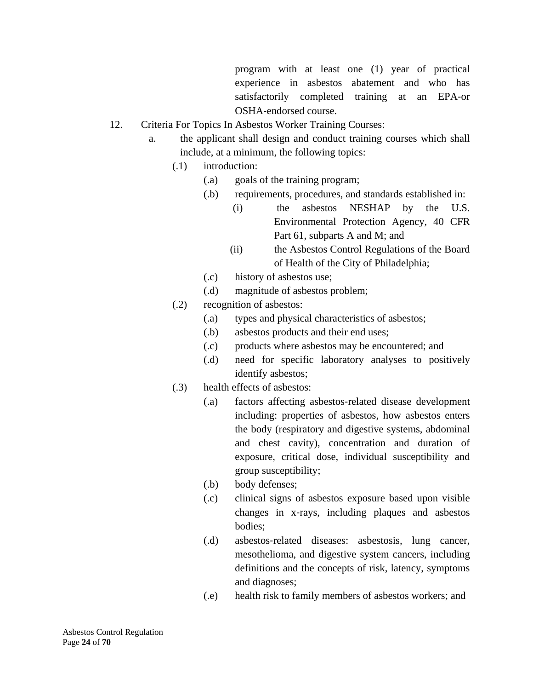program with at least one (1) year of practical experience in asbestos abatement and who has satisfactorily completed training at an EPA-or OSHA‐endorsed course.

- 12. Criteria For Topics In Asbestos Worker Training Courses:
	- a. the applicant shall design and conduct training courses which shall include, at a minimum, the following topics:
		- (.1) introduction:
			- (.a) goals of the training program;
			- (.b) requirements, procedures, and standards established in:
				- (i) the asbestos NESHAP by the U.S. Environmental Protection Agency, 40 CFR Part 61, subparts A and M; and
				- (ii) the Asbestos Control Regulations of the Board of Health of the City of Philadelphia;
			- (.c) history of asbestos use;
			- (.d) magnitude of asbestos problem;
		- (.2) recognition of asbestos:
			- (.a) types and physical characteristics of asbestos;
			- (.b) asbestos products and their end uses;
			- (.c) products where asbestos may be encountered; and
			- (.d) need for specific laboratory analyses to positively identify asbestos;
		- (.3) health effects of asbestos:
			- (.a) factors affecting asbestos‐related disease development including: properties of asbestos, how asbestos enters the body (respiratory and digestive systems, abdominal and chest cavity), concentration and duration of exposure, critical dose, individual susceptibility and group susceptibility;
			- (.b) body defenses;
			- (.c) clinical signs of asbestos exposure based upon visible changes in x‐rays, including plaques and asbestos bodies;
			- (.d) asbestos‐related diseases: asbestosis, lung cancer, mesothelioma, and digestive system cancers, including definitions and the concepts of risk, latency, symptoms and diagnoses;
			- (.e) health risk to family members of asbestos workers; and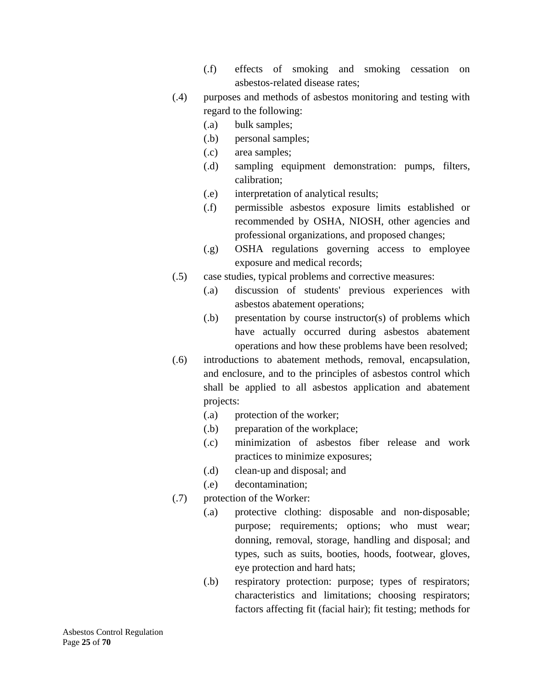- (.f) effects of smoking and smoking cessation on asbestos‐related disease rates;
- (.4) purposes and methods of asbestos monitoring and testing with regard to the following:
	- (.a) bulk samples;
	- (.b) personal samples;
	- (.c) area samples;
	- (.d) sampling equipment demonstration: pumps, filters, calibration;
	- (.e) interpretation of analytical results;
	- (.f) permissible asbestos exposure limits established or recommended by OSHA, NIOSH, other agencies and professional organizations, and proposed changes;
	- (.g) OSHA regulations governing access to employee exposure and medical records;
- (.5) case studies, typical problems and corrective measures:
	- (.a) discussion of students' previous experiences with asbestos abatement operations;
	- (.b) presentation by course instructor(s) of problems which have actually occurred during asbestos abatement operations and how these problems have been resolved;
- (.6) introductions to abatement methods, removal, encapsulation, and enclosure, and to the principles of asbestos control which shall be applied to all asbestos application and abatement projects:
	- (.a) protection of the worker;
	- (.b) preparation of the workplace;
	- (.c) minimization of asbestos fiber release and work practices to minimize exposures;
	- (.d) clean‐up and disposal; and
	- (.e) decontamination;
- (.7) protection of the Worker:
	- (.a) protective clothing: disposable and non‐disposable; purpose; requirements; options; who must wear; donning, removal, storage, handling and disposal; and types, such as suits, booties, hoods, footwear, gloves, eye protection and hard hats;
	- (.b) respiratory protection: purpose; types of respirators; characteristics and limitations; choosing respirators; factors affecting fit (facial hair); fit testing; methods for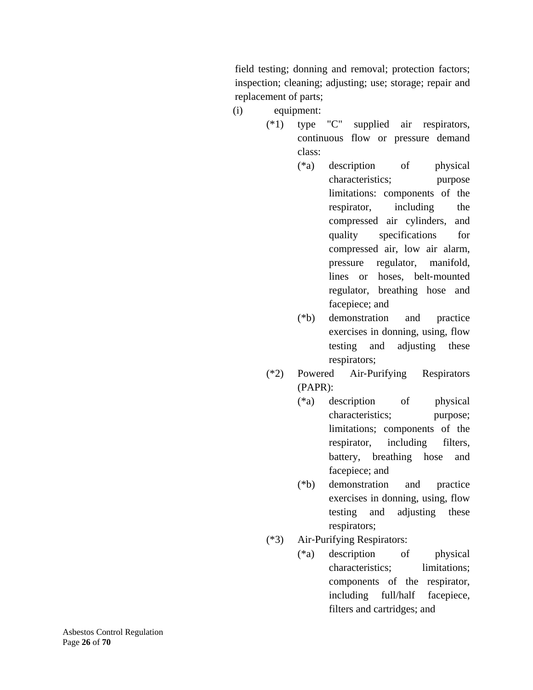field testing; donning and removal; protection factors; inspection; cleaning; adjusting; use; storage; repair and replacement of parts;

- (i) equipment:
	- (\*1) type "C" supplied air respirators, continuous flow or pressure demand class:
		- (\*a) description of physical characteristics; purpose limitations: components of the respirator, including the compressed air cylinders, and quality specifications for compressed air, low air alarm, pressure regulator, manifold, lines or hoses, belt-mounted regulator, breathing hose and facepiece; and
		- (\*b) demonstration and practice exercises in donning, using, flow testing and adjusting these respirators;
	- (\*2) Powered Air‐Purifying Respirators (PAPR):
		- (\*a) description of physical characteristics; purpose; limitations; components of the respirator, including filters, battery, breathing hose and facepiece; and
		- (\*b) demonstration and practice exercises in donning, using, flow testing and adjusting these respirators;
	- (\*3) Air‐Purifying Respirators:
		- (\*a) description of physical characteristics; limitations; components of the respirator, including full/half facepiece, filters and cartridges; and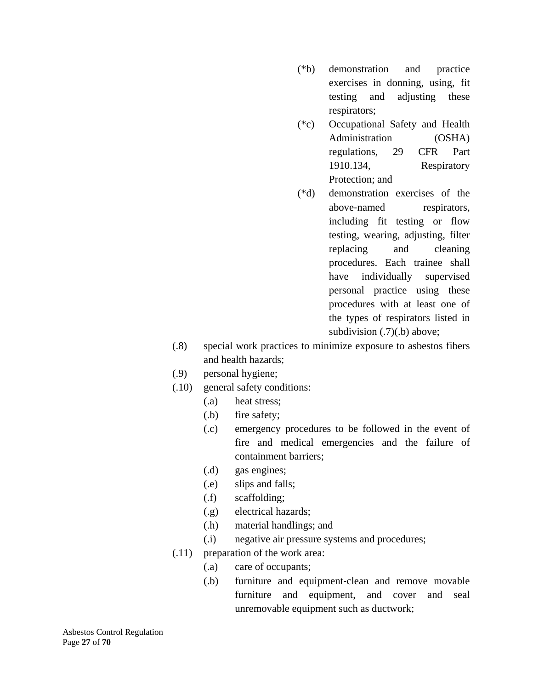- (\*b) demonstration and practice exercises in donning, using, fit testing and adjusting these respirators;
- (\*c) Occupational Safety and Health Administration (OSHA) regulations, 29 CFR Part 1910.134, Respiratory Protection; and
- (\*d) demonstration exercises of the above-named respirators, including fit testing or flow testing, wearing, adjusting, filter replacing and cleaning procedures. Each trainee shall have individually supervised personal practice using these procedures with at least one of the types of respirators listed in subdivision  $(.7)(.b)$  above;
- (.8) special work practices to minimize exposure to asbestos fibers and health hazards;
- (.9) personal hygiene;
- (.10) general safety conditions:
	- (.a) heat stress;
	- (.b) fire safety;
	- (.c) emergency procedures to be followed in the event of fire and medical emergencies and the failure of containment barriers;
	- (.d) gas engines;
	- (.e) slips and falls;
	- (.f) scaffolding;
	- (.g) electrical hazards;
	- (.h) material handlings; and
	- (.i) negative air pressure systems and procedures;
- (.11) preparation of the work area:
	- (.a) care of occupants;
	- (.b) furniture and equipment‐clean and remove movable furniture and equipment, and cover and seal unremovable equipment such as ductwork;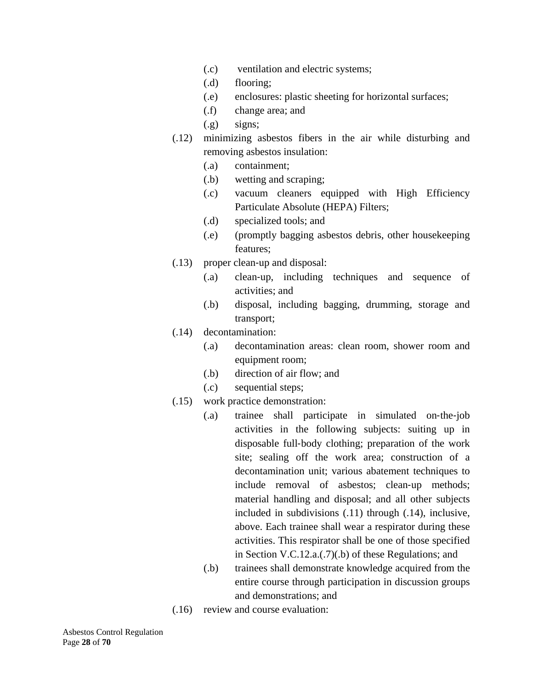- (.c) ventilation and electric systems;
- (.d) flooring;
- (.e) enclosures: plastic sheeting for horizontal surfaces;
- (.f) change area; and
- (.g) signs;
- (.12) minimizing asbestos fibers in the air while disturbing and removing asbestos insulation:
	- (.a) containment;
	- (.b) wetting and scraping;
	- (.c) vacuum cleaners equipped with High Efficiency Particulate Absolute (HEPA) Filters;
	- (.d) specialized tools; and
	- (.e) (promptly bagging asbestos debris, other housekeeping features;
- (.13) proper clean‐up and disposal:
	- (.a) clean‐up, including techniques and sequence of activities; and
	- (.b) disposal, including bagging, drumming, storage and transport;
- (.14) decontamination:
	- (.a) decontamination areas: clean room, shower room and equipment room;
	- (.b) direction of air flow; and
	- (.c) sequential steps;
- (.15) work practice demonstration:
	- (.a) trainee shall participate in simulated on‐the‐job activities in the following subjects: suiting up in disposable full‐body clothing; preparation of the work site; sealing off the work area; construction of a decontamination unit; various abatement techniques to include removal of asbestos; clean‐up methods; material handling and disposal; and all other subjects included in subdivisions (.11) through (.14), inclusive, above. Each trainee shall wear a respirator during these activities. This respirator shall be one of those specified in Section V.C.12.a.(.7)(.b) of these Regulations; and
	- (.b) trainees shall demonstrate knowledge acquired from the entire course through participation in discussion groups and demonstrations; and
- (.16) review and course evaluation: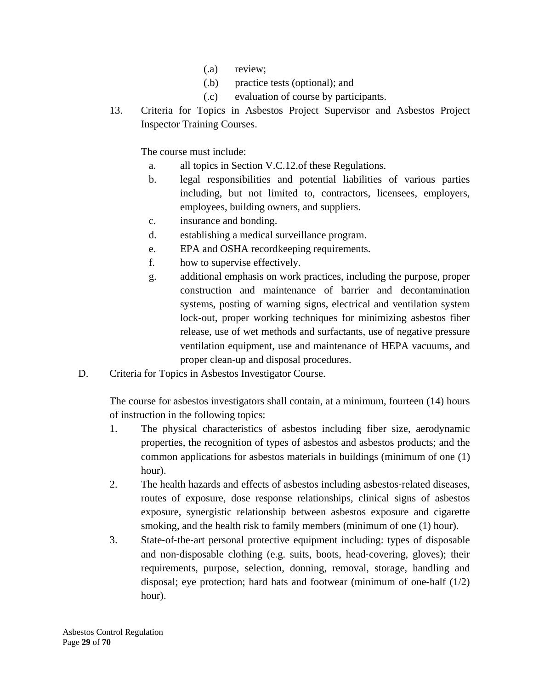- (.a) review;
- (.b) practice tests (optional); and
- (.c) evaluation of course by participants.
- 13. Criteria for Topics in Asbestos Project Supervisor and Asbestos Project Inspector Training Courses.

The course must include:

- a. all topics in Section V.C.12.of these Regulations.
- b. legal responsibilities and potential liabilities of various parties including, but not limited to, contractors, licensees, employers, employees, building owners, and suppliers.
- c. insurance and bonding.
- d. establishing a medical surveillance program.
- e. EPA and OSHA recordkeeping requirements.
- f. how to supervise effectively.
- g. additional emphasis on work practices, including the purpose, proper construction and maintenance of barrier and decontamination systems, posting of warning signs, electrical and ventilation system lock‐out, proper working techniques for minimizing asbestos fiber release, use of wet methods and surfactants, use of negative pressure ventilation equipment, use and maintenance of HEPA vacuums, and proper clean‐up and disposal procedures.
- D. Criteria for Topics in Asbestos Investigator Course.

The course for asbestos investigators shall contain, at a minimum, fourteen (14) hours of instruction in the following topics:

- 1. The physical characteristics of asbestos including fiber size, aerodynamic properties, the recognition of types of asbestos and asbestos products; and the common applications for asbestos materials in buildings (minimum of one (1) hour).
- 2. The health hazards and effects of asbestos including asbestos‐related diseases, routes of exposure, dose response relationships, clinical signs of asbestos exposure, synergistic relationship between asbestos exposure and cigarette smoking, and the health risk to family members (minimum of one (1) hour).
- 3. State‐of‐the‐art personal protective equipment including: types of disposable and non‐disposable clothing (e.g. suits, boots, head‐covering, gloves); their requirements, purpose, selection, donning, removal, storage, handling and disposal; eye protection; hard hats and footwear (minimum of one-half  $(1/2)$ ) hour).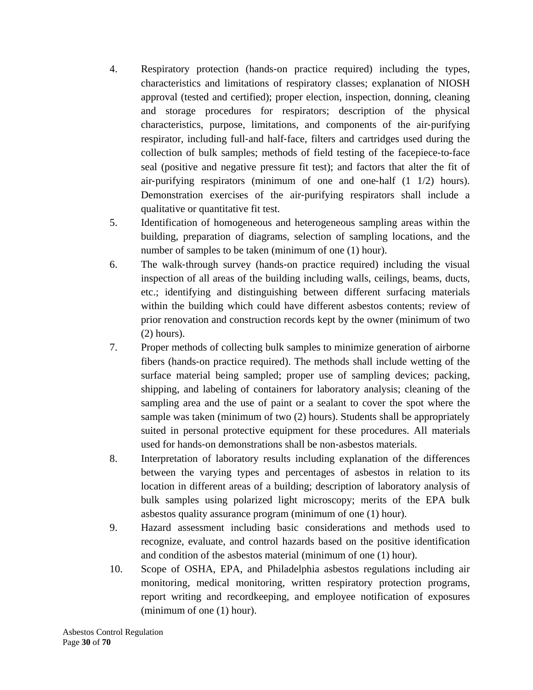- 4. Respiratory protection (hands‐on practice required) including the types, characteristics and limitations of respiratory classes; explanation of NIOSH approval (tested and certified); proper election, inspection, donning, cleaning and storage procedures for respirators; description of the physical characteristics, purpose, limitations, and components of the air‐purifying respirator, including full‐and half‐face, filters and cartridges used during the collection of bulk samples; methods of field testing of the facepiece‐to‐face seal (positive and negative pressure fit test); and factors that alter the fit of air‐purifying respirators (minimum of one and one‐half (1 1/2) hours). Demonstration exercises of the air-purifying respirators shall include a qualitative or quantitative fit test.
- 5. Identification of homogeneous and heterogeneous sampling areas within the building, preparation of diagrams, selection of sampling locations, and the number of samples to be taken (minimum of one (1) hour).
- 6. The walk‐through survey (hands‐on practice required) including the visual inspection of all areas of the building including walls, ceilings, beams, ducts, etc.; identifying and distinguishing between different surfacing materials within the building which could have different asbestos contents; review of prior renovation and construction records kept by the owner (minimum of two (2) hours).
- 7. Proper methods of collecting bulk samples to minimize generation of airborne fibers (hands‐on practice required). The methods shall include wetting of the surface material being sampled; proper use of sampling devices; packing, shipping, and labeling of containers for laboratory analysis; cleaning of the sampling area and the use of paint or a sealant to cover the spot where the sample was taken (minimum of two (2) hours). Students shall be appropriately suited in personal protective equipment for these procedures. All materials used for hands‐on demonstrations shall be non‐asbestos materials.
- 8. Interpretation of laboratory results including explanation of the differences between the varying types and percentages of asbestos in relation to its location in different areas of a building; description of laboratory analysis of bulk samples using polarized light microscopy; merits of the EPA bulk asbestos quality assurance program (minimum of one (1) hour).
- 9. Hazard assessment including basic considerations and methods used to recognize, evaluate, and control hazards based on the positive identification and condition of the asbestos material (minimum of one (1) hour).
- 10. Scope of OSHA, EPA, and Philadelphia asbestos regulations including air monitoring, medical monitoring, written respiratory protection programs, report writing and recordkeeping, and employee notification of exposures (minimum of one (1) hour).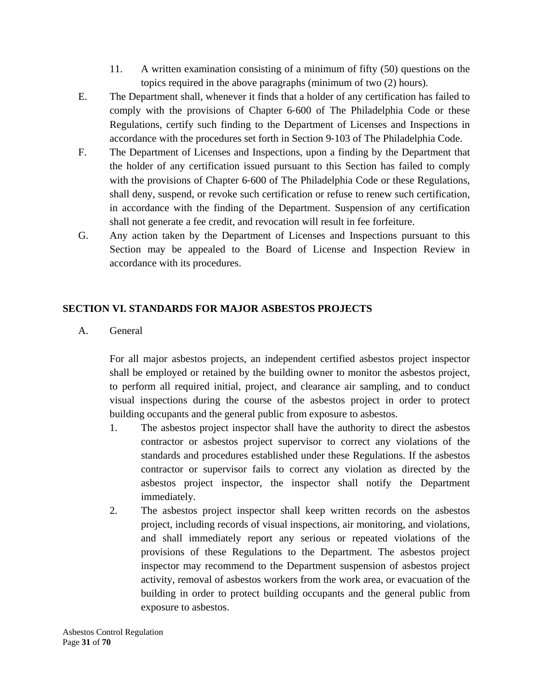- 11. A written examination consisting of a minimum of fifty (50) questions on the topics required in the above paragraphs (minimum of two (2) hours).
- E. The Department shall, whenever it finds that a holder of any certification has failed to comply with the provisions of Chapter 6‐600 of The Philadelphia Code or these Regulations, certify such finding to the Department of Licenses and Inspections in accordance with the procedures set forth in Section 9‐103 of The Philadelphia Code.
- F. The Department of Licenses and Inspections, upon a finding by the Department that the holder of any certification issued pursuant to this Section has failed to comply with the provisions of Chapter 6-600 of The Philadelphia Code or these Regulations, shall deny, suspend, or revoke such certification or refuse to renew such certification, in accordance with the finding of the Department. Suspension of any certification shall not generate a fee credit, and revocation will result in fee forfeiture.
- G. Any action taken by the Department of Licenses and Inspections pursuant to this Section may be appealed to the Board of License and Inspection Review in accordance with its procedures.

### **SECTION VI. STANDARDS FOR MAJOR ASBESTOS PROJECTS**

A. General

For all major asbestos projects, an independent certified asbestos project inspector shall be employed or retained by the building owner to monitor the asbestos project, to perform all required initial, project, and clearance air sampling, and to conduct visual inspections during the course of the asbestos project in order to protect building occupants and the general public from exposure to asbestos.

- 1. The asbestos project inspector shall have the authority to direct the asbestos contractor or asbestos project supervisor to correct any violations of the standards and procedures established under these Regulations. If the asbestos contractor or supervisor fails to correct any violation as directed by the asbestos project inspector, the inspector shall notify the Department immediately.
- 2. The asbestos project inspector shall keep written records on the asbestos project, including records of visual inspections, air monitoring, and violations, and shall immediately report any serious or repeated violations of the provisions of these Regulations to the Department. The asbestos project inspector may recommend to the Department suspension of asbestos project activity, removal of asbestos workers from the work area, or evacuation of the building in order to protect building occupants and the general public from exposure to asbestos.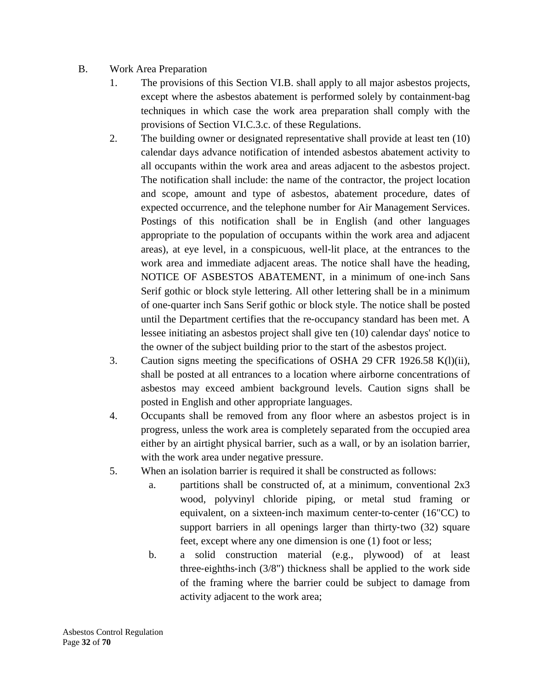### B. Work Area Preparation

- 1. The provisions of this Section VI.B. shall apply to all major asbestos projects, except where the asbestos abatement is performed solely by containment-bag techniques in which case the work area preparation shall comply with the provisions of Section VI.C.3.c. of these Regulations.
- 2. The building owner or designated representative shall provide at least ten (10) calendar days advance notification of intended asbestos abatement activity to all occupants within the work area and areas adjacent to the asbestos project. The notification shall include: the name of the contractor, the project location and scope, amount and type of asbestos, abatement procedure, dates of expected occurrence, and the telephone number for Air Management Services. Postings of this notification shall be in English (and other languages appropriate to the population of occupants within the work area and adjacent areas), at eye level, in a conspicuous, well‐lit place, at the entrances to the work area and immediate adjacent areas. The notice shall have the heading, NOTICE OF ASBESTOS ABATEMENT, in a minimum of one‐inch Sans Serif gothic or block style lettering. All other lettering shall be in a minimum of one‐quarter inch Sans Serif gothic or block style. The notice shall be posted until the Department certifies that the re‐occupancy standard has been met. A lessee initiating an asbestos project shall give ten (10) calendar days' notice to the owner of the subject building prior to the start of the asbestos project.
- 3. Caution signs meeting the specifications of OSHA 29 CFR 1926.58 K(l)(ii), shall be posted at all entrances to a location where airborne concentrations of asbestos may exceed ambient background levels. Caution signs shall be posted in English and other appropriate languages.
- 4. Occupants shall be removed from any floor where an asbestos project is in progress, unless the work area is completely separated from the occupied area either by an airtight physical barrier, such as a wall, or by an isolation barrier, with the work area under negative pressure.
- 5. When an isolation barrier is required it shall be constructed as follows:
	- a. partitions shall be constructed of, at a minimum, conventional 2x3 wood, polyvinyl chloride piping, or metal stud framing or equivalent, on a sixteen‐inch maximum center‐to‐center (16"CC) to support barriers in all openings larger than thirty-two (32) square feet, except where any one dimension is one (1) foot or less;
	- b. a solid construction material (e.g., plywood) of at least three-eighths-inch  $(3/8)$  thickness shall be applied to the work side of the framing where the barrier could be subject to damage from activity adjacent to the work area;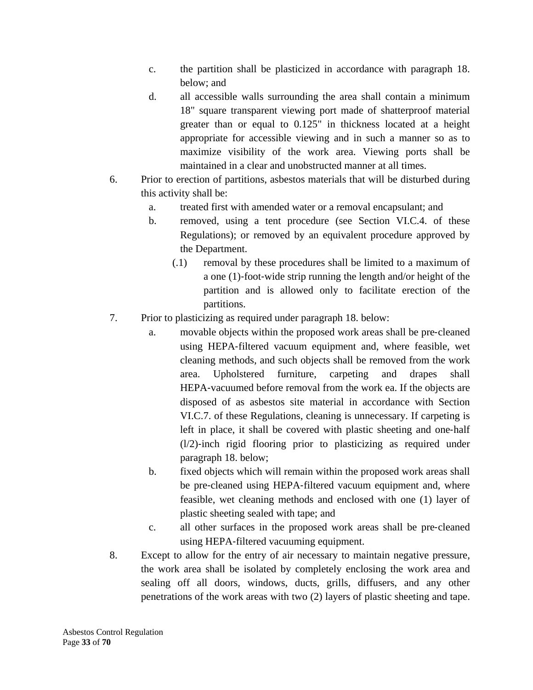- c. the partition shall be plasticized in accordance with paragraph 18. below; and
- d. all accessible walls surrounding the area shall contain a minimum 18" square transparent viewing port made of shatterproof material greater than or equal to 0.125" in thickness located at a height appropriate for accessible viewing and in such a manner so as to maximize visibility of the work area. Viewing ports shall be maintained in a clear and unobstructed manner at all times.
- 6. Prior to erection of partitions, asbestos materials that will be disturbed during this activity shall be:
	- a. treated first with amended water or a removal encapsulant; and
	- b. removed, using a tent procedure (see Section VI.C.4. of these Regulations); or removed by an equivalent procedure approved by the Department.
		- (.1) removal by these procedures shall be limited to a maximum of a one (1)‐foot‐wide strip running the length and/or height of the partition and is allowed only to facilitate erection of the partitions.
- 7. Prior to plasticizing as required under paragraph 18. below:
	- a. movable objects within the proposed work areas shall be pre‐cleaned using HEPA‐filtered vacuum equipment and, where feasible, wet cleaning methods, and such objects shall be removed from the work area. Upholstered furniture, carpeting and drapes shall HEPA-vacuumed before removal from the work ea. If the objects are disposed of as asbestos site material in accordance with Section VI.C.7. of these Regulations, cleaning is unnecessary. If carpeting is left in place, it shall be covered with plastic sheeting and one‐half  $(1/2)$ -inch rigid flooring prior to plasticizing as required under paragraph 18. below;
	- b. fixed objects which will remain within the proposed work areas shall be pre-cleaned using HEPA-filtered vacuum equipment and, where feasible, wet cleaning methods and enclosed with one (1) layer of plastic sheeting sealed with tape; and
	- c. all other surfaces in the proposed work areas shall be pre‐cleaned using HEPA‐filtered vacuuming equipment.
- 8. Except to allow for the entry of air necessary to maintain negative pressure, the work area shall be isolated by completely enclosing the work area and sealing off all doors, windows, ducts, grills, diffusers, and any other penetrations of the work areas with two (2) layers of plastic sheeting and tape.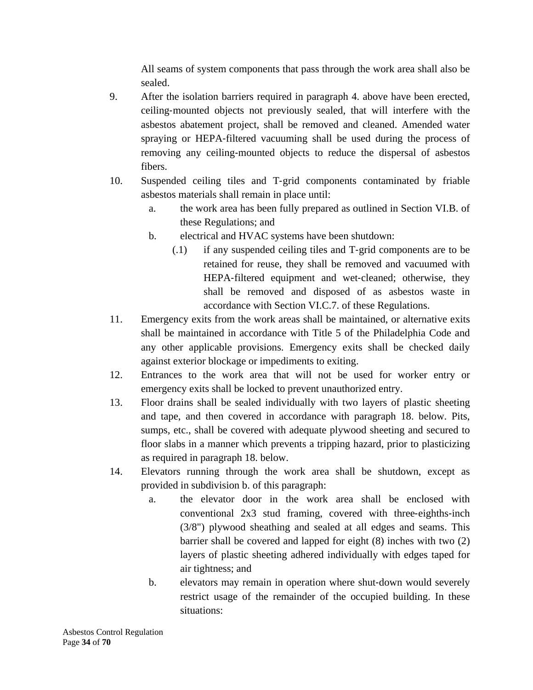All seams of system components that pass through the work area shall also be sealed.

- 9. After the isolation barriers required in paragraph 4. above have been erected, ceiling‐mounted objects not previously sealed, that will interfere with the asbestos abatement project, shall be removed and cleaned. Amended water spraying or HEPA‐filtered vacuuming shall be used during the process of removing any ceiling‐mounted objects to reduce the dispersal of asbestos fibers.
- 10. Suspended ceiling tiles and T‐grid components contaminated by friable asbestos materials shall remain in place until:
	- a. the work area has been fully prepared as outlined in Section VI.B. of these Regulations; and
	- b. electrical and HVAC systems have been shutdown:
		- (.1) if any suspended ceiling tiles and T‐grid components are to be retained for reuse, they shall be removed and vacuumed with HEPA-filtered equipment and wet-cleaned; otherwise, they shall be removed and disposed of as asbestos waste in accordance with Section VI.C.7. of these Regulations.
- 11. Emergency exits from the work areas shall be maintained, or alternative exits shall be maintained in accordance with Title 5 of the Philadelphia Code and any other applicable provisions. Emergency exits shall be checked daily against exterior blockage or impediments to exiting.
- 12. Entrances to the work area that will not be used for worker entry or emergency exits shall be locked to prevent unauthorized entry.
- 13. Floor drains shall be sealed individually with two layers of plastic sheeting and tape, and then covered in accordance with paragraph 18. below. Pits, sumps, etc., shall be covered with adequate plywood sheeting and secured to floor slabs in a manner which prevents a tripping hazard, prior to plasticizing as required in paragraph 18. below.
- 14. Elevators running through the work area shall be shutdown, except as provided in subdivision b. of this paragraph:
	- a. the elevator door in the work area shall be enclosed with conventional 2x3 stud framing, covered with three-eighths-inch (3/8") plywood sheathing and sealed at all edges and seams. This barrier shall be covered and lapped for eight (8) inches with two (2) layers of plastic sheeting adhered individually with edges taped for air tightness; and
	- b. elevators may remain in operation where shut‐down would severely restrict usage of the remainder of the occupied building. In these situations: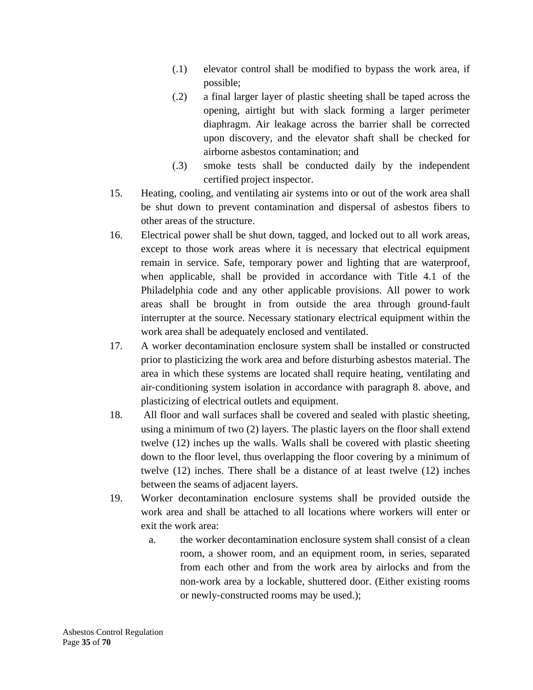- (.1) elevator control shall be modified to bypass the work area, if possible;
- (.2) a final larger layer of plastic sheeting shall be taped across the opening, airtight but with slack forming a larger perimeter diaphragm. Air leakage across the barrier shall be corrected upon discovery, and the elevator shaft shall be checked for airborne asbestos contamination; and
- (.3) smoke tests shall be conducted daily by the independent certified project inspector.
- 15. Heating, cooling, and ventilating air systems into or out of the work area shall be shut down to prevent contamination and dispersal of asbestos fibers to other areas of the structure.
- 16. Electrical power shall be shut down, tagged, and locked out to all work areas, except to those work areas where it is necessary that electrical equipment remain in service. Safe, temporary power and lighting that are waterproof, when applicable, shall be provided in accordance with Title 4.1 of the Philadelphia code and any other applicable provisions. All power to work areas shall be brought in from outside the area through ground‐fault interrupter at the source. Necessary stationary electrical equipment within the work area shall be adequately enclosed and ventilated.
- 17. A worker decontamination enclosure system shall be installed or constructed prior to plasticizing the work area and before disturbing asbestos material. The area in which these systems are located shall require heating, ventilating and air‐conditioning system isolation in accordance with paragraph 8. above, and plasticizing of electrical outlets and equipment.
- 18. All floor and wall surfaces shall be covered and sealed with plastic sheeting, using a minimum of two (2) layers. The plastic layers on the floor shall extend twelve (12) inches up the walls. Walls shall be covered with plastic sheeting down to the floor level, thus overlapping the floor covering by a minimum of twelve (12) inches. There shall be a distance of at least twelve (12) inches between the seams of adjacent layers.
- 19. Worker decontamination enclosure systems shall be provided outside the work area and shall be attached to all locations where workers will enter or exit the work area:
	- a. the worker decontamination enclosure system shall consist of a clean room, a shower room, and an equipment room, in series, separated from each other and from the work area by airlocks and from the non‐work area by a lockable, shuttered door. (Either existing rooms or newly‐constructed rooms may be used.);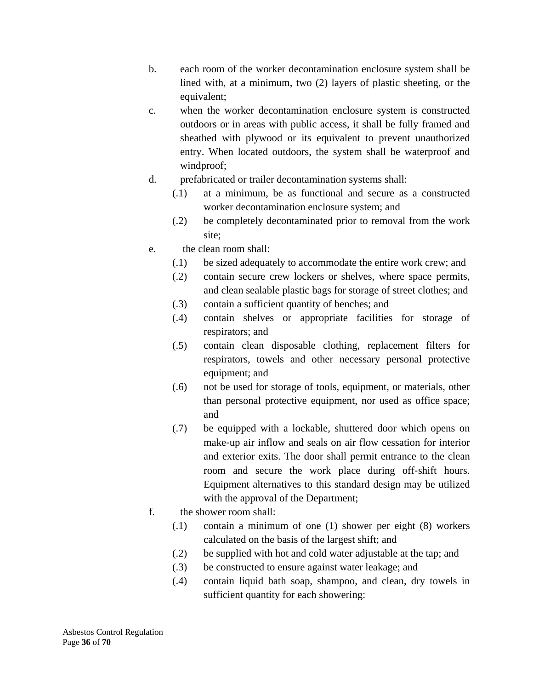- b. each room of the worker decontamination enclosure system shall be lined with, at a minimum, two (2) layers of plastic sheeting, or the equivalent;
- c. when the worker decontamination enclosure system is constructed outdoors or in areas with public access, it shall be fully framed and sheathed with plywood or its equivalent to prevent unauthorized entry. When located outdoors, the system shall be waterproof and windproof;
- d. prefabricated or trailer decontamination systems shall:
	- (.1) at a minimum, be as functional and secure as a constructed worker decontamination enclosure system; and
	- (.2) be completely decontaminated prior to removal from the work site;
- e. the clean room shall:
	- (.1) be sized adequately to accommodate the entire work crew; and
	- (.2) contain secure crew lockers or shelves, where space permits, and clean sealable plastic bags for storage of street clothes; and
	- (.3) contain a sufficient quantity of benches; and
	- (.4) contain shelves or appropriate facilities for storage of respirators; and
	- (.5) contain clean disposable clothing, replacement filters for respirators, towels and other necessary personal protective equipment; and
	- (.6) not be used for storage of tools, equipment, or materials, other than personal protective equipment, nor used as office space; and
	- (.7) be equipped with a lockable, shuttered door which opens on make‐up air inflow and seals on air flow cessation for interior and exterior exits. The door shall permit entrance to the clean room and secure the work place during off-shift hours. Equipment alternatives to this standard design may be utilized with the approval of the Department;
- f. the shower room shall:
	- (.1) contain a minimum of one (1) shower per eight (8) workers calculated on the basis of the largest shift; and
	- (.2) be supplied with hot and cold water adjustable at the tap; and
	- (.3) be constructed to ensure against water leakage; and
	- (.4) contain liquid bath soap, shampoo, and clean, dry towels in sufficient quantity for each showering: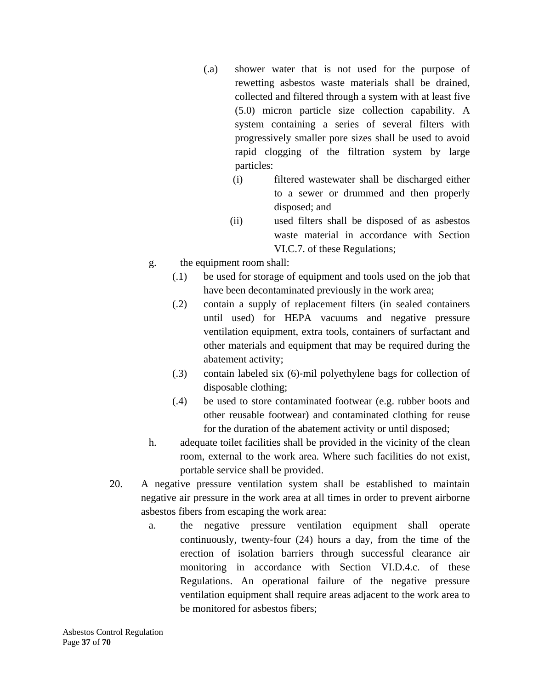- (.a) shower water that is not used for the purpose of rewetting asbestos waste materials shall be drained, collected and filtered through a system with at least five (5.0) micron particle size collection capability. A system containing a series of several filters with progressively smaller pore sizes shall be used to avoid rapid clogging of the filtration system by large particles:
	- (i) filtered wastewater shall be discharged either to a sewer or drummed and then properly disposed; and
	- (ii) used filters shall be disposed of as asbestos waste material in accordance with Section VI.C.7. of these Regulations;
- g. the equipment room shall:
	- (.1) be used for storage of equipment and tools used on the job that have been decontaminated previously in the work area;
	- (.2) contain a supply of replacement filters (in sealed containers until used) for HEPA vacuums and negative pressure ventilation equipment, extra tools, containers of surfactant and other materials and equipment that may be required during the abatement activity;
	- (.3) contain labeled six (6)‐mil polyethylene bags for collection of disposable clothing;
	- (.4) be used to store contaminated footwear (e.g. rubber boots and other reusable footwear) and contaminated clothing for reuse for the duration of the abatement activity or until disposed;
- h. adequate toilet facilities shall be provided in the vicinity of the clean room, external to the work area. Where such facilities do not exist, portable service shall be provided.
- 20. A negative pressure ventilation system shall be established to maintain negative air pressure in the work area at all times in order to prevent airborne asbestos fibers from escaping the work area:
	- a. the negative pressure ventilation equipment shall operate continuously, twenty‐four (24) hours a day, from the time of the erection of isolation barriers through successful clearance air monitoring in accordance with Section VI.D.4.c. of these Regulations. An operational failure of the negative pressure ventilation equipment shall require areas adjacent to the work area to be monitored for asbestos fibers;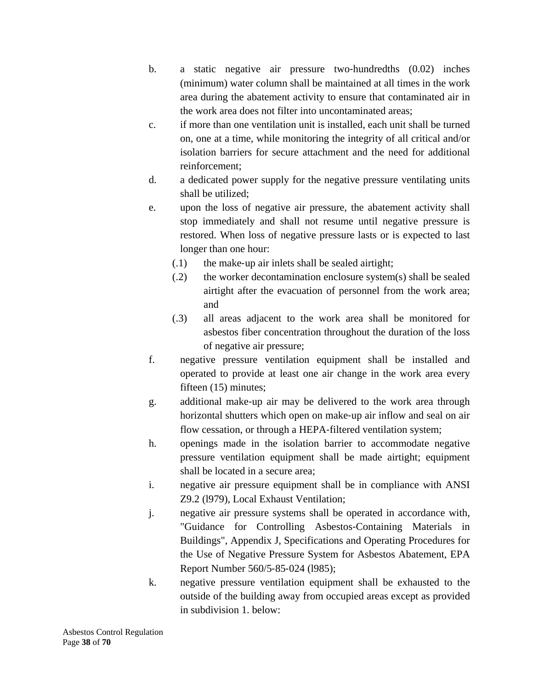- b. a static negative air pressure two-hundredths (0.02) inches (minimum) water column shall be maintained at all times in the work area during the abatement activity to ensure that contaminated air in the work area does not filter into uncontaminated areas;
- c. if more than one ventilation unit is installed, each unit shall be turned on, one at a time, while monitoring the integrity of all critical and/or isolation barriers for secure attachment and the need for additional reinforcement;
- d. a dedicated power supply for the negative pressure ventilating units shall be utilized;
- e. upon the loss of negative air pressure, the abatement activity shall stop immediately and shall not resume until negative pressure is restored. When loss of negative pressure lasts or is expected to last longer than one hour:
	- (.1) the make‐up air inlets shall be sealed airtight;
	- (.2) the worker decontamination enclosure system(s) shall be sealed airtight after the evacuation of personnel from the work area; and
	- (.3) all areas adjacent to the work area shall be monitored for asbestos fiber concentration throughout the duration of the loss of negative air pressure;
- f. negative pressure ventilation equipment shall be installed and operated to provide at least one air change in the work area every fifteen (15) minutes;
- g. additional make‐up air may be delivered to the work area through horizontal shutters which open on make-up air inflow and seal on air flow cessation, or through a HEPA-filtered ventilation system;
- h. openings made in the isolation barrier to accommodate negative pressure ventilation equipment shall be made airtight; equipment shall be located in a secure area;
- i. negative air pressure equipment shall be in compliance with ANSI Z9.2 (l979), Local Exhaust Ventilation;
- j. negative air pressure systems shall be operated in accordance with, "Guidance for Controlling Asbestos‐Containing Materials in Buildings", Appendix J, Specifications and Operating Procedures for the Use of Negative Pressure System for Asbestos Abatement, EPA Report Number 560/5‐85‐024 (l985);
- k. negative pressure ventilation equipment shall be exhausted to the outside of the building away from occupied areas except as provided in subdivision 1. below: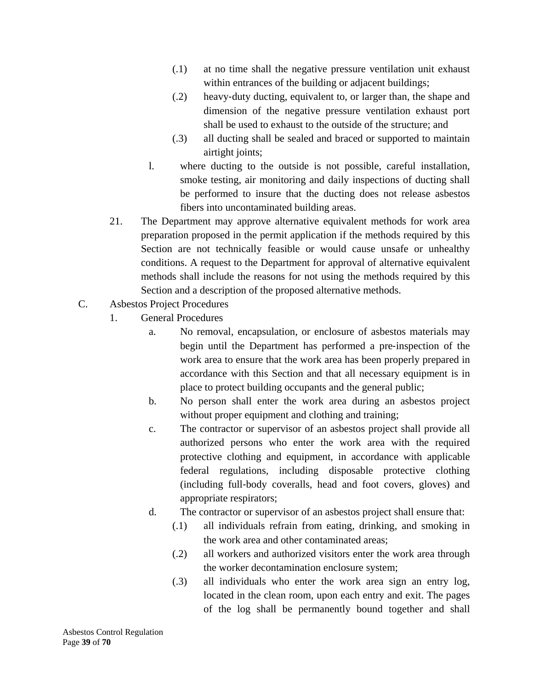- (.1) at no time shall the negative pressure ventilation unit exhaust within entrances of the building or adjacent buildings;
- (.2) heavy‐duty ducting, equivalent to, or larger than, the shape and dimension of the negative pressure ventilation exhaust port shall be used to exhaust to the outside of the structure; and
- (.3) all ducting shall be sealed and braced or supported to maintain airtight joints;
- l. where ducting to the outside is not possible, careful installation, smoke testing, air monitoring and daily inspections of ducting shall be performed to insure that the ducting does not release asbestos fibers into uncontaminated building areas.
- 21. The Department may approve alternative equivalent methods for work area preparation proposed in the permit application if the methods required by this Section are not technically feasible or would cause unsafe or unhealthy conditions. A request to the Department for approval of alternative equivalent methods shall include the reasons for not using the methods required by this Section and a description of the proposed alternative methods.
- C. Asbestos Project Procedures
	- 1. General Procedures
		- a. No removal, encapsulation, or enclosure of asbestos materials may begin until the Department has performed a pre‐inspection of the work area to ensure that the work area has been properly prepared in accordance with this Section and that all necessary equipment is in place to protect building occupants and the general public;
		- b. No person shall enter the work area during an asbestos project without proper equipment and clothing and training;
		- c. The contractor or supervisor of an asbestos project shall provide all authorized persons who enter the work area with the required protective clothing and equipment, in accordance with applicable federal regulations, including disposable protective clothing (including full‐body coveralls, head and foot covers, gloves) and appropriate respirators;
		- d. The contractor or supervisor of an asbestos project shall ensure that:
			- (.1) all individuals refrain from eating, drinking, and smoking in the work area and other contaminated areas;
			- (.2) all workers and authorized visitors enter the work area through the worker decontamination enclosure system;
			- (.3) all individuals who enter the work area sign an entry log, located in the clean room, upon each entry and exit. The pages of the log shall be permanently bound together and shall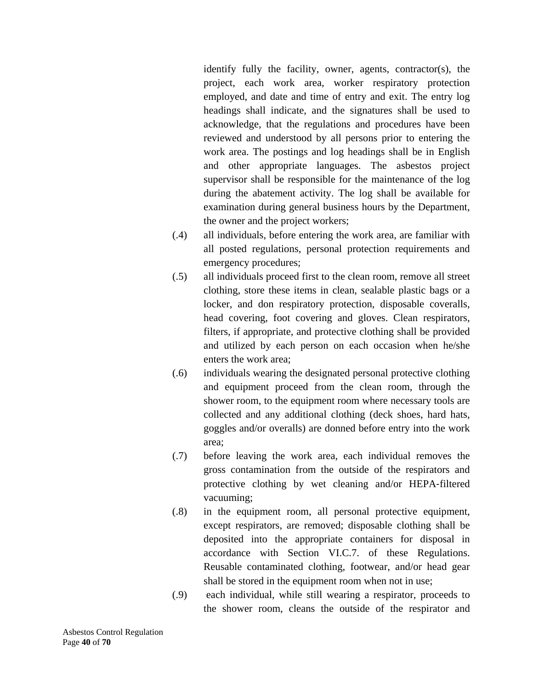identify fully the facility, owner, agents, contractor(s), the project, each work area, worker respiratory protection employed, and date and time of entry and exit. The entry log headings shall indicate, and the signatures shall be used to acknowledge, that the regulations and procedures have been reviewed and understood by all persons prior to entering the work area. The postings and log headings shall be in English and other appropriate languages. The asbestos project supervisor shall be responsible for the maintenance of the log during the abatement activity. The log shall be available for examination during general business hours by the Department, the owner and the project workers;

- (.4) all individuals, before entering the work area, are familiar with all posted regulations, personal protection requirements and emergency procedures;
- (.5) all individuals proceed first to the clean room, remove all street clothing, store these items in clean, sealable plastic bags or a locker, and don respiratory protection, disposable coveralls, head covering, foot covering and gloves. Clean respirators, filters, if appropriate, and protective clothing shall be provided and utilized by each person on each occasion when he/she enters the work area;
- (.6) individuals wearing the designated personal protective clothing and equipment proceed from the clean room, through the shower room, to the equipment room where necessary tools are collected and any additional clothing (deck shoes, hard hats, goggles and/or overalls) are donned before entry into the work area;
- (.7) before leaving the work area, each individual removes the gross contamination from the outside of the respirators and protective clothing by wet cleaning and/or HEPA‐filtered vacuuming;
- (.8) in the equipment room, all personal protective equipment, except respirators, are removed; disposable clothing shall be deposited into the appropriate containers for disposal in accordance with Section VI.C.7. of these Regulations. Reusable contaminated clothing, footwear, and/or head gear shall be stored in the equipment room when not in use;
- (.9) each individual, while still wearing a respirator, proceeds to the shower room, cleans the outside of the respirator and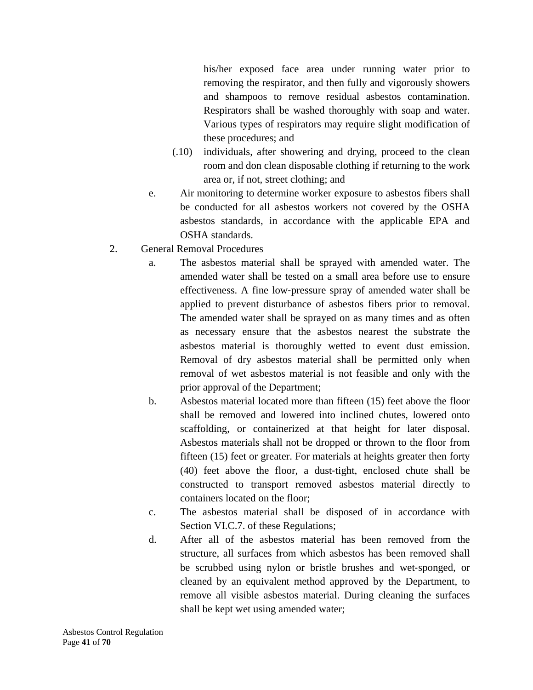his/her exposed face area under running water prior to removing the respirator, and then fully and vigorously showers and shampoos to remove residual asbestos contamination. Respirators shall be washed thoroughly with soap and water. Various types of respirators may require slight modification of these procedures; and

- (.10) individuals, after showering and drying, proceed to the clean room and don clean disposable clothing if returning to the work area or, if not, street clothing; and
- e. Air monitoring to determine worker exposure to asbestos fibers shall be conducted for all asbestos workers not covered by the OSHA asbestos standards, in accordance with the applicable EPA and OSHA standards.
- 2. General Removal Procedures
	- a. The asbestos material shall be sprayed with amended water. The amended water shall be tested on a small area before use to ensure effectiveness. A fine low‐pressure spray of amended water shall be applied to prevent disturbance of asbestos fibers prior to removal. The amended water shall be sprayed on as many times and as often as necessary ensure that the asbestos nearest the substrate the asbestos material is thoroughly wetted to event dust emission. Removal of dry asbestos material shall be permitted only when removal of wet asbestos material is not feasible and only with the prior approval of the Department;
	- b. Asbestos material located more than fifteen (15) feet above the floor shall be removed and lowered into inclined chutes, lowered onto scaffolding, or containerized at that height for later disposal. Asbestos materials shall not be dropped or thrown to the floor from fifteen (15) feet or greater. For materials at heights greater then forty (40) feet above the floor, a dust‐tight, enclosed chute shall be constructed to transport removed asbestos material directly to containers located on the floor;
	- c. The asbestos material shall be disposed of in accordance with Section VI.C.7. of these Regulations;
	- d. After all of the asbestos material has been removed from the structure, all surfaces from which asbestos has been removed shall be scrubbed using nylon or bristle brushes and wet-sponged, or cleaned by an equivalent method approved by the Department, to remove all visible asbestos material. During cleaning the surfaces shall be kept wet using amended water;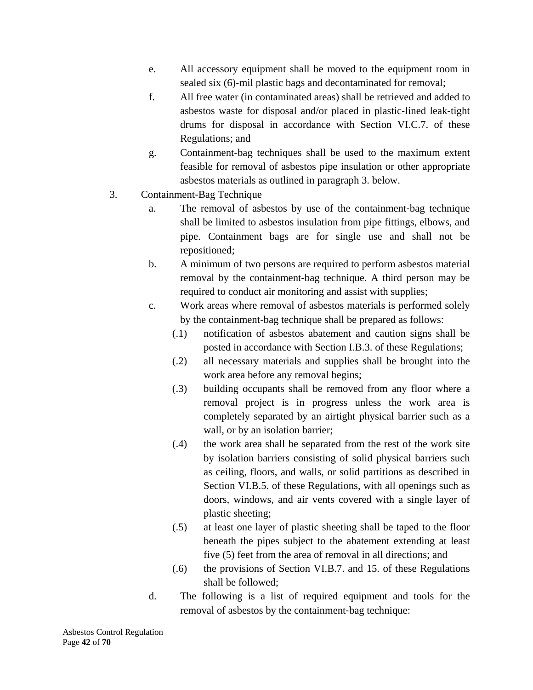- e. All accessory equipment shall be moved to the equipment room in sealed six (6)-mil plastic bags and decontaminated for removal;
- f. All free water (in contaminated areas) shall be retrieved and added to asbestos waste for disposal and/or placed in plastic‐lined leak‐tight drums for disposal in accordance with Section VI.C.7. of these Regulations; and
- g. Containment‐bag techniques shall be used to the maximum extent feasible for removal of asbestos pipe insulation or other appropriate asbestos materials as outlined in paragraph 3. below.
- 3. Containment‐Bag Technique
	- a. The removal of asbestos by use of the containment‐bag technique shall be limited to asbestos insulation from pipe fittings, elbows, and pipe. Containment bags are for single use and shall not be repositioned;
	- b. A minimum of two persons are required to perform asbestos material removal by the containment‐bag technique. A third person may be required to conduct air monitoring and assist with supplies;
	- c. Work areas where removal of asbestos materials is performed solely by the containment‐bag technique shall be prepared as follows:
		- (.1) notification of asbestos abatement and caution signs shall be posted in accordance with Section I.B.3. of these Regulations;
		- (.2) all necessary materials and supplies shall be brought into the work area before any removal begins;
		- (.3) building occupants shall be removed from any floor where a removal project is in progress unless the work area is completely separated by an airtight physical barrier such as a wall, or by an isolation barrier;
		- (.4) the work area shall be separated from the rest of the work site by isolation barriers consisting of solid physical barriers such as ceiling, floors, and walls, or solid partitions as described in Section VI.B.5. of these Regulations, with all openings such as doors, windows, and air vents covered with a single layer of plastic sheeting;
		- (.5) at least one layer of plastic sheeting shall be taped to the floor beneath the pipes subject to the abatement extending at least five (5) feet from the area of removal in all directions; and
		- (.6) the provisions of Section VI.B.7. and 15. of these Regulations shall be followed;
	- d. The following is a list of required equipment and tools for the removal of asbestos by the containment‐bag technique: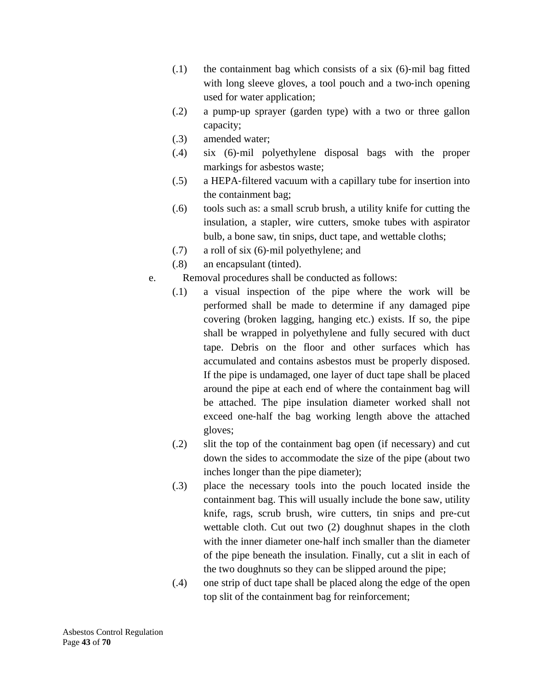- $(0.1)$  the containment bag which consists of a six  $(6)$ -mil bag fitted with long sleeve gloves, a tool pouch and a two-inch opening used for water application;
- (.2) a pump‐up sprayer (garden type) with a two or three gallon capacity;
- (.3) amended water;
- (.4) six (6)‐mil polyethylene disposal bags with the proper markings for asbestos waste;
- (.5) a HEPA‐filtered vacuum with a capillary tube for insertion into the containment bag;
- (.6) tools such as: a small scrub brush, a utility knife for cutting the insulation, a stapler, wire cutters, smoke tubes with aspirator bulb, a bone saw, tin snips, duct tape, and wettable cloths;
- (.7) a roll of six (6)‐mil polyethylene; and
- (.8) an encapsulant (tinted).
- e. Removal procedures shall be conducted as follows:
	- (.1) a visual inspection of the pipe where the work will be performed shall be made to determine if any damaged pipe covering (broken lagging, hanging etc.) exists. If so, the pipe shall be wrapped in polyethylene and fully secured with duct tape. Debris on the floor and other surfaces which has accumulated and contains asbestos must be properly disposed. If the pipe is undamaged, one layer of duct tape shall be placed around the pipe at each end of where the containment bag will be attached. The pipe insulation diameter worked shall not exceed one‐half the bag working length above the attached gloves;
	- (.2) slit the top of the containment bag open (if necessary) and cut down the sides to accommodate the size of the pipe (about two inches longer than the pipe diameter);
	- (.3) place the necessary tools into the pouch located inside the containment bag. This will usually include the bone saw, utility knife, rags, scrub brush, wire cutters, tin snips and pre-cut wettable cloth. Cut out two (2) doughnut shapes in the cloth with the inner diameter one‐half inch smaller than the diameter of the pipe beneath the insulation. Finally, cut a slit in each of the two doughnuts so they can be slipped around the pipe;
	- (.4) one strip of duct tape shall be placed along the edge of the open top slit of the containment bag for reinforcement;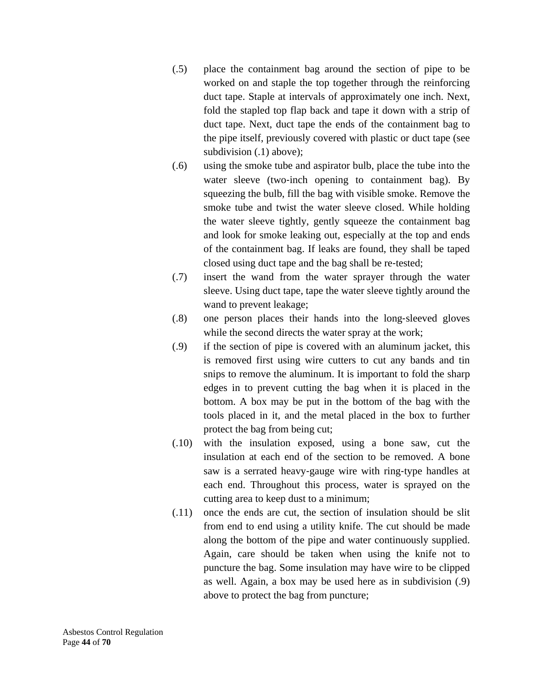- (.5) place the containment bag around the section of pipe to be worked on and staple the top together through the reinforcing duct tape. Staple at intervals of approximately one inch. Next, fold the stapled top flap back and tape it down with a strip of duct tape. Next, duct tape the ends of the containment bag to the pipe itself, previously covered with plastic or duct tape (see subdivision (.1) above);
- (.6) using the smoke tube and aspirator bulb, place the tube into the water sleeve (two-inch opening to containment bag). By squeezing the bulb, fill the bag with visible smoke. Remove the smoke tube and twist the water sleeve closed. While holding the water sleeve tightly, gently squeeze the containment bag and look for smoke leaking out, especially at the top and ends of the containment bag. If leaks are found, they shall be taped closed using duct tape and the bag shall be re‐tested;
- (.7) insert the wand from the water sprayer through the water sleeve. Using duct tape, tape the water sleeve tightly around the wand to prevent leakage;
- (.8) one person places their hands into the long‐sleeved gloves while the second directs the water spray at the work;
- (.9) if the section of pipe is covered with an aluminum jacket, this is removed first using wire cutters to cut any bands and tin snips to remove the aluminum. It is important to fold the sharp edges in to prevent cutting the bag when it is placed in the bottom. A box may be put in the bottom of the bag with the tools placed in it, and the metal placed in the box to further protect the bag from being cut;
- (.10) with the insulation exposed, using a bone saw, cut the insulation at each end of the section to be removed. A bone saw is a serrated heavy‐gauge wire with ring‐type handles at each end. Throughout this process, water is sprayed on the cutting area to keep dust to a minimum;
- (.11) once the ends are cut, the section of insulation should be slit from end to end using a utility knife. The cut should be made along the bottom of the pipe and water continuously supplied. Again, care should be taken when using the knife not to puncture the bag. Some insulation may have wire to be clipped as well. Again, a box may be used here as in subdivision (.9) above to protect the bag from puncture;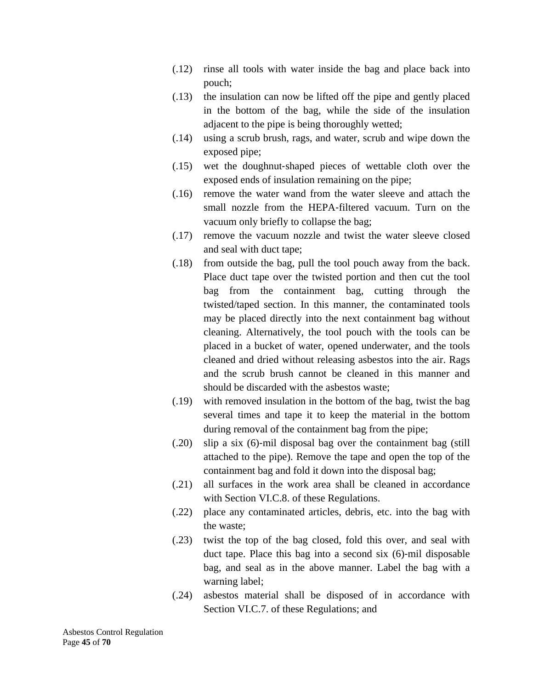- (.12) rinse all tools with water inside the bag and place back into pouch;
- (.13) the insulation can now be lifted off the pipe and gently placed in the bottom of the bag, while the side of the insulation adjacent to the pipe is being thoroughly wetted;
- (.14) using a scrub brush, rags, and water, scrub and wipe down the exposed pipe;
- (.15) wet the doughnut‐shaped pieces of wettable cloth over the exposed ends of insulation remaining on the pipe;
- (.16) remove the water wand from the water sleeve and attach the small nozzle from the HEPA-filtered vacuum. Turn on the vacuum only briefly to collapse the bag;
- (.17) remove the vacuum nozzle and twist the water sleeve closed and seal with duct tape;
- (.18) from outside the bag, pull the tool pouch away from the back. Place duct tape over the twisted portion and then cut the tool bag from the containment bag, cutting through the twisted/taped section. In this manner, the contaminated tools may be placed directly into the next containment bag without cleaning. Alternatively, the tool pouch with the tools can be placed in a bucket of water, opened underwater, and the tools cleaned and dried without releasing asbestos into the air. Rags and the scrub brush cannot be cleaned in this manner and should be discarded with the asbestos waste;
- (.19) with removed insulation in the bottom of the bag, twist the bag several times and tape it to keep the material in the bottom during removal of the containment bag from the pipe;
- (.20) slip a six (6)‐mil disposal bag over the containment bag (still attached to the pipe). Remove the tape and open the top of the containment bag and fold it down into the disposal bag;
- (.21) all surfaces in the work area shall be cleaned in accordance with Section VI.C.8. of these Regulations.
- (.22) place any contaminated articles, debris, etc. into the bag with the waste;
- (.23) twist the top of the bag closed, fold this over, and seal with duct tape. Place this bag into a second six (6)‐mil disposable bag, and seal as in the above manner. Label the bag with a warning label;
- (.24) asbestos material shall be disposed of in accordance with Section VI.C.7. of these Regulations; and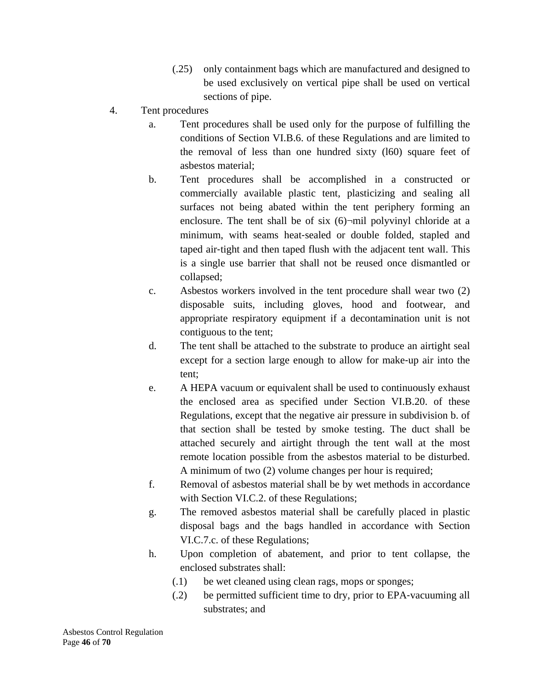- (.25) only containment bags which are manufactured and designed to be used exclusively on vertical pipe shall be used on vertical sections of pipe.
- 4. Tent procedures
	- a. Tent procedures shall be used only for the purpose of fulfilling the conditions of Section VI.B.6. of these Regulations and are limited to the removal of less than one hundred sixty (l60) square feet of asbestos material;
	- b. Tent procedures shall be accomplished in a constructed or commercially available plastic tent, plasticizing and sealing all surfaces not being abated within the tent periphery forming an enclosure. The tent shall be of six  $(6)$ -mil polyvinyl chloride at a minimum, with seams heat-sealed or double folded, stapled and taped air‐tight and then taped flush with the adjacent tent wall. This is a single use barrier that shall not be reused once dismantled or collapsed;
	- c. Asbestos workers involved in the tent procedure shall wear two (2) disposable suits, including gloves, hood and footwear, and appropriate respiratory equipment if a decontamination unit is not contiguous to the tent;
	- d. The tent shall be attached to the substrate to produce an airtight seal except for a section large enough to allow for make-up air into the tent;
	- e. A HEPA vacuum or equivalent shall be used to continuously exhaust the enclosed area as specified under Section VI.B.20. of these Regulations, except that the negative air pressure in subdivision b. of that section shall be tested by smoke testing. The duct shall be attached securely and airtight through the tent wall at the most remote location possible from the asbestos material to be disturbed. A minimum of two (2) volume changes per hour is required;
	- f. Removal of asbestos material shall be by wet methods in accordance with Section VI.C.2. of these Regulations;
	- g. The removed asbestos material shall be carefully placed in plastic disposal bags and the bags handled in accordance with Section VI.C.7.c. of these Regulations;
	- h. Upon completion of abatement, and prior to tent collapse, the enclosed substrates shall:
		- (.1) be wet cleaned using clean rags, mops or sponges;
		- (.2) be permitted sufficient time to dry, prior to EPA‐vacuuming all substrates; and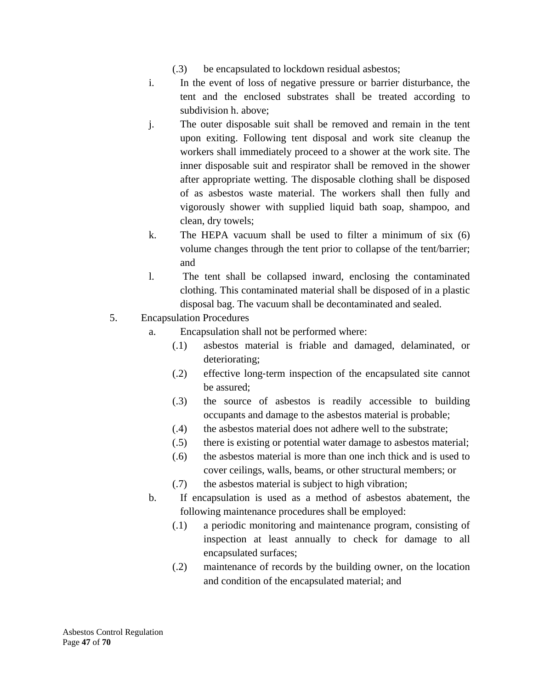- (.3) be encapsulated to lockdown residual asbestos;
- i. In the event of loss of negative pressure or barrier disturbance, the tent and the enclosed substrates shall be treated according to subdivision h. above;
- j. The outer disposable suit shall be removed and remain in the tent upon exiting. Following tent disposal and work site cleanup the workers shall immediately proceed to a shower at the work site. The inner disposable suit and respirator shall be removed in the shower after appropriate wetting. The disposable clothing shall be disposed of as asbestos waste material. The workers shall then fully and vigorously shower with supplied liquid bath soap, shampoo, and clean, dry towels;
- k. The HEPA vacuum shall be used to filter a minimum of six (6) volume changes through the tent prior to collapse of the tent/barrier; and
- l. The tent shall be collapsed inward, enclosing the contaminated clothing. This contaminated material shall be disposed of in a plastic disposal bag. The vacuum shall be decontaminated and sealed.
- 5. Encapsulation Procedures
	- a. Encapsulation shall not be performed where:
		- (.1) asbestos material is friable and damaged, delaminated, or deteriorating;
		- (.2) effective long‐term inspection of the encapsulated site cannot be assured;
		- (.3) the source of asbestos is readily accessible to building occupants and damage to the asbestos material is probable;
		- (.4) the asbestos material does not adhere well to the substrate;
		- (.5) there is existing or potential water damage to asbestos material;
		- (.6) the asbestos material is more than one inch thick and is used to cover ceilings, walls, beams, or other structural members; or
		- (.7) the asbestos material is subject to high vibration;
	- b. If encapsulation is used as a method of asbestos abatement, the following maintenance procedures shall be employed:
		- (.1) a periodic monitoring and maintenance program, consisting of inspection at least annually to check for damage to all encapsulated surfaces;
		- (.2) maintenance of records by the building owner, on the location and condition of the encapsulated material; and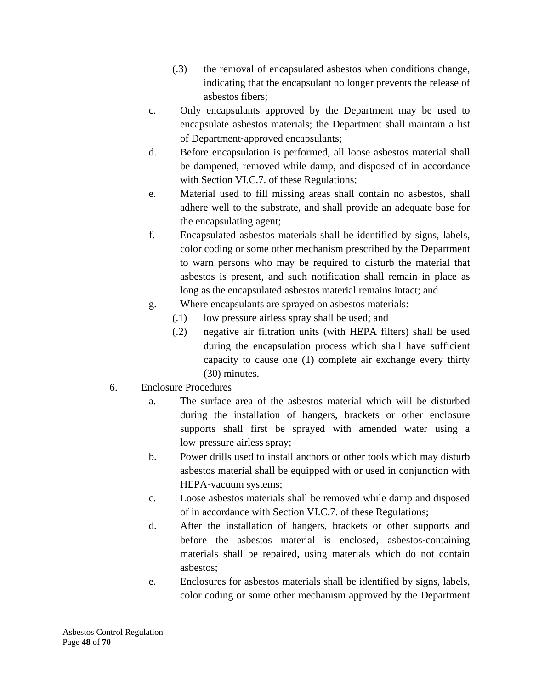- (.3) the removal of encapsulated asbestos when conditions change, indicating that the encapsulant no longer prevents the release of asbestos fibers;
- c. Only encapsulants approved by the Department may be used to encapsulate asbestos materials; the Department shall maintain a list of Department‐approved encapsulants;
- d. Before encapsulation is performed, all loose asbestos material shall be dampened, removed while damp, and disposed of in accordance with Section VI.C.7. of these Regulations;
- e. Material used to fill missing areas shall contain no asbestos, shall adhere well to the substrate, and shall provide an adequate base for the encapsulating agent;
- f. Encapsulated asbestos materials shall be identified by signs, labels, color coding or some other mechanism prescribed by the Department to warn persons who may be required to disturb the material that asbestos is present, and such notification shall remain in place as long as the encapsulated asbestos material remains intact; and
- g. Where encapsulants are sprayed on asbestos materials:
	- (.1) low pressure airless spray shall be used; and
	- (.2) negative air filtration units (with HEPA filters) shall be used during the encapsulation process which shall have sufficient capacity to cause one (1) complete air exchange every thirty (30) minutes.
- 6. Enclosure Procedures
	- a. The surface area of the asbestos material which will be disturbed during the installation of hangers, brackets or other enclosure supports shall first be sprayed with amended water using a low‐pressure airless spray;
	- b. Power drills used to install anchors or other tools which may disturb asbestos material shall be equipped with or used in conjunction with HEPA‐vacuum systems;
	- c. Loose asbestos materials shall be removed while damp and disposed of in accordance with Section VI.C.7. of these Regulations;
	- d. After the installation of hangers, brackets or other supports and before the asbestos material is enclosed, asbestos-containing materials shall be repaired, using materials which do not contain asbestos;
	- e. Enclosures for asbestos materials shall be identified by signs, labels, color coding or some other mechanism approved by the Department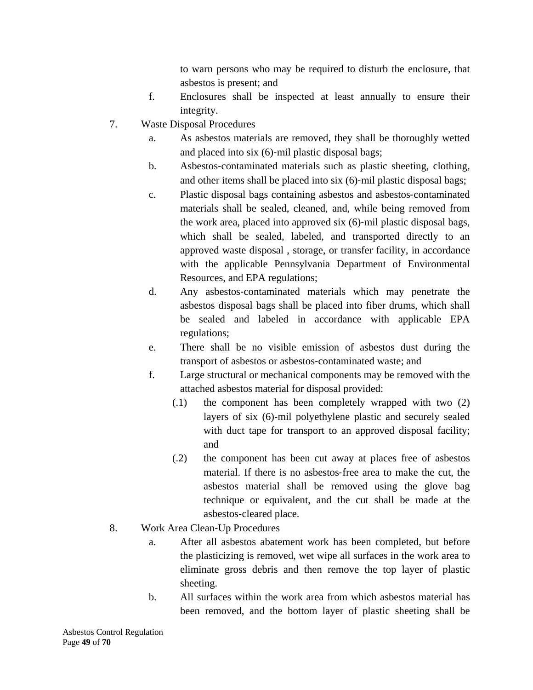to warn persons who may be required to disturb the enclosure, that asbestos is present; and

- f. Enclosures shall be inspected at least annually to ensure their integrity.
- 7. Waste Disposal Procedures
	- a. As asbestos materials are removed, they shall be thoroughly wetted and placed into six (6)‐mil plastic disposal bags;
	- b. Asbestos‐contaminated materials such as plastic sheeting, clothing, and other items shall be placed into six (6)‐mil plastic disposal bags;
	- c. Plastic disposal bags containing asbestos and asbestos‐contaminated materials shall be sealed, cleaned, and, while being removed from the work area, placed into approved six (6)‐mil plastic disposal bags, which shall be sealed, labeled, and transported directly to an approved waste disposal , storage, or transfer facility, in accordance with the applicable Pennsylvania Department of Environmental Resources, and EPA regulations;
	- d. Any asbestos‐contaminated materials which may penetrate the asbestos disposal bags shall be placed into fiber drums, which shall be sealed and labeled in accordance with applicable EPA regulations;
	- e. There shall be no visible emission of asbestos dust during the transport of asbestos or asbestos‐contaminated waste; and
	- f. Large structural or mechanical components may be removed with the attached asbestos material for disposal provided:
		- (.1) the component has been completely wrapped with two (2) layers of six (6)‐mil polyethylene plastic and securely sealed with duct tape for transport to an approved disposal facility; and
		- (.2) the component has been cut away at places free of asbestos material. If there is no asbestos-free area to make the cut, the asbestos material shall be removed using the glove bag technique or equivalent, and the cut shall be made at the asbestos‐cleared place.
- 8. Work Area Clean‐Up Procedures
	- a. After all asbestos abatement work has been completed, but before the plasticizing is removed, wet wipe all surfaces in the work area to eliminate gross debris and then remove the top layer of plastic sheeting.
	- b. All surfaces within the work area from which asbestos material has been removed, and the bottom layer of plastic sheeting shall be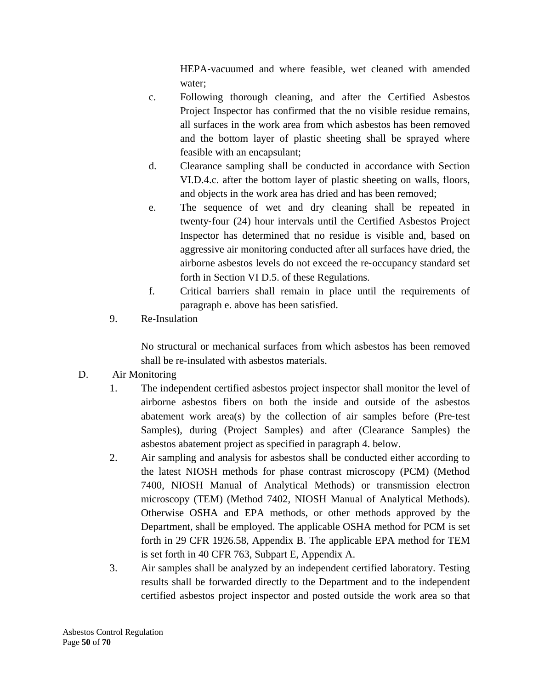HEPA‐vacuumed and where feasible, wet cleaned with amended water;

- c. Following thorough cleaning, and after the Certified Asbestos Project Inspector has confirmed that the no visible residue remains, all surfaces in the work area from which asbestos has been removed and the bottom layer of plastic sheeting shall be sprayed where feasible with an encapsulant;
- d. Clearance sampling shall be conducted in accordance with Section VI.D.4.c. after the bottom layer of plastic sheeting on walls, floors, and objects in the work area has dried and has been removed;
- e. The sequence of wet and dry cleaning shall be repeated in twenty‐four (24) hour intervals until the Certified Asbestos Project Inspector has determined that no residue is visible and, based on aggressive air monitoring conducted after all surfaces have dried, the airborne asbestos levels do not exceed the re‐occupancy standard set forth in Section VI D.5. of these Regulations.
- f. Critical barriers shall remain in place until the requirements of paragraph e. above has been satisfied.
- 9. Re‐Insulation

No structural or mechanical surfaces from which asbestos has been removed shall be re‐insulated with asbestos materials.

- D. Air Monitoring
	- 1. The independent certified asbestos project inspector shall monitor the level of airborne asbestos fibers on both the inside and outside of the asbestos abatement work area(s) by the collection of air samples before (Pre‐test Samples), during (Project Samples) and after (Clearance Samples) the asbestos abatement project as specified in paragraph 4. below.
	- 2. Air sampling and analysis for asbestos shall be conducted either according to the latest NIOSH methods for phase contrast microscopy (PCM) (Method 7400, NIOSH Manual of Analytical Methods) or transmission electron microscopy (TEM) (Method 7402, NIOSH Manual of Analytical Methods). Otherwise OSHA and EPA methods, or other methods approved by the Department, shall be employed. The applicable OSHA method for PCM is set forth in 29 CFR 1926.58, Appendix B. The applicable EPA method for TEM is set forth in 40 CFR 763, Subpart E, Appendix A.
	- 3. Air samples shall be analyzed by an independent certified laboratory. Testing results shall be forwarded directly to the Department and to the independent certified asbestos project inspector and posted outside the work area so that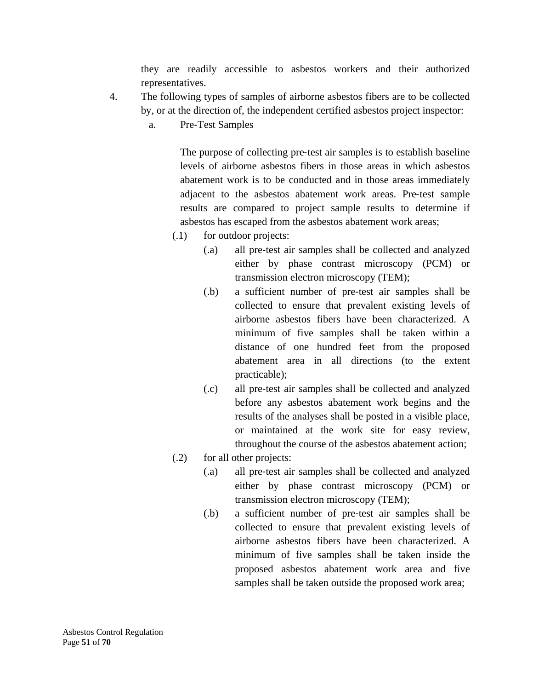they are readily accessible to asbestos workers and their authorized representatives.

- 4. The following types of samples of airborne asbestos fibers are to be collected by, or at the direction of, the independent certified asbestos project inspector:
	- a. Pre‐Test Samples

The purpose of collecting pre‐test air samples is to establish baseline levels of airborne asbestos fibers in those areas in which asbestos abatement work is to be conducted and in those areas immediately adjacent to the asbestos abatement work areas. Pre‐test sample results are compared to project sample results to determine if asbestos has escaped from the asbestos abatement work areas;

- (.1) for outdoor projects:
	- (.a) all pre‐test air samples shall be collected and analyzed either by phase contrast microscopy (PCM) or transmission electron microscopy (TEM);
	- (.b) a sufficient number of pre‐test air samples shall be collected to ensure that prevalent existing levels of airborne asbestos fibers have been characterized. A minimum of five samples shall be taken within a distance of one hundred feet from the proposed abatement area in all directions (to the extent practicable);
	- (.c) all pre‐test air samples shall be collected and analyzed before any asbestos abatement work begins and the results of the analyses shall be posted in a visible place, or maintained at the work site for easy review, throughout the course of the asbestos abatement action;
- (.2) for all other projects:
	- (.a) all pre‐test air samples shall be collected and analyzed either by phase contrast microscopy (PCM) or transmission electron microscopy (TEM);
	- (.b) a sufficient number of pre‐test air samples shall be collected to ensure that prevalent existing levels of airborne asbestos fibers have been characterized. A minimum of five samples shall be taken inside the proposed asbestos abatement work area and five samples shall be taken outside the proposed work area;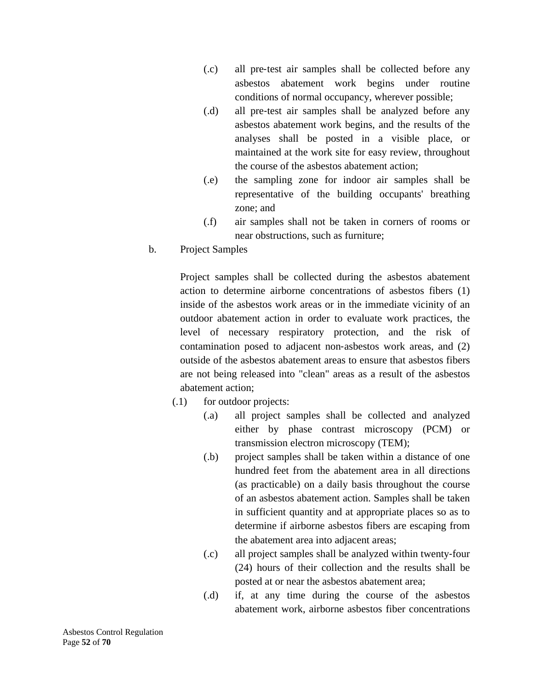- (.c) all pre‐test air samples shall be collected before any asbestos abatement work begins under routine conditions of normal occupancy, wherever possible;
- (.d) all pre‐test air samples shall be analyzed before any asbestos abatement work begins, and the results of the analyses shall be posted in a visible place, or maintained at the work site for easy review, throughout the course of the asbestos abatement action;
- (.e) the sampling zone for indoor air samples shall be representative of the building occupants' breathing zone; and
- (.f) air samples shall not be taken in corners of rooms or near obstructions, such as furniture;
- b. Project Samples

Project samples shall be collected during the asbestos abatement action to determine airborne concentrations of asbestos fibers (1) inside of the asbestos work areas or in the immediate vicinity of an outdoor abatement action in order to evaluate work practices, the level of necessary respiratory protection, and the risk of contamination posed to adjacent non‐asbestos work areas, and (2) outside of the asbestos abatement areas to ensure that asbestos fibers are not being released into "clean" areas as a result of the asbestos abatement action;

- (.1) for outdoor projects:
	- (.a) all project samples shall be collected and analyzed either by phase contrast microscopy (PCM) or transmission electron microscopy (TEM);
	- (.b) project samples shall be taken within a distance of one hundred feet from the abatement area in all directions (as practicable) on a daily basis throughout the course of an asbestos abatement action. Samples shall be taken in sufficient quantity and at appropriate places so as to determine if airborne asbestos fibers are escaping from the abatement area into adjacent areas;
	- (.c) all project samples shall be analyzed within twenty‐four (24) hours of their collection and the results shall be posted at or near the asbestos abatement area;
	- (.d) if, at any time during the course of the asbestos abatement work, airborne asbestos fiber concentrations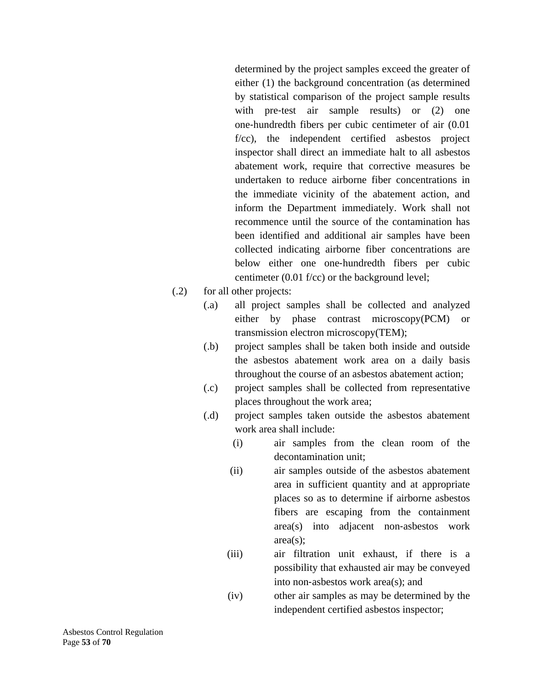determined by the project samples exceed the greater of either (1) the background concentration (as determined by statistical comparison of the project sample results with pre-test air sample results) or (2) one one‐hundredth fibers per cubic centimeter of air (0.01 f/cc), the independent certified asbestos project inspector shall direct an immediate halt to all asbestos abatement work, require that corrective measures be undertaken to reduce airborne fiber concentrations in the immediate vicinity of the abatement action, and inform the Department immediately. Work shall not recommence until the source of the contamination has been identified and additional air samples have been collected indicating airborne fiber concentrations are below either one one‐hundredth fibers per cubic centimeter (0.01 f/cc) or the background level;

- (.2) for all other projects:
	- (.a) all project samples shall be collected and analyzed either by phase contrast microscopy(PCM) or transmission electron microscopy(TEM);
	- (.b) project samples shall be taken both inside and outside the asbestos abatement work area on a daily basis throughout the course of an asbestos abatement action;
	- (.c) project samples shall be collected from representative places throughout the work area;
	- (.d) project samples taken outside the asbestos abatement work area shall include:
		- (i) air samples from the clean room of the decontamination unit;
		- (ii) air samples outside of the asbestos abatement area in sufficient quantity and at appropriate places so as to determine if airborne asbestos fibers are escaping from the containment area(s) into adjacent non‐asbestos work area(s);
		- (iii) air filtration unit exhaust, if there is a possibility that exhausted air may be conveyed into non‐asbestos work area(s); and
		- (iv) other air samples as may be determined by the independent certified asbestos inspector;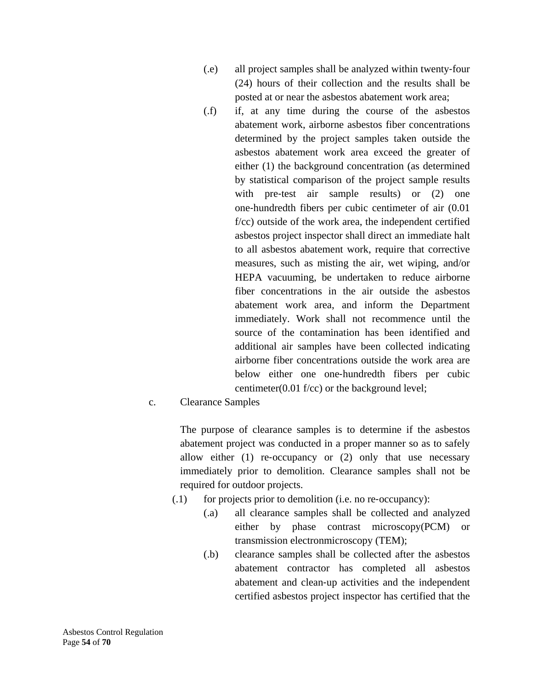- (.e) all project samples shall be analyzed within twenty‐four (24) hours of their collection and the results shall be posted at or near the asbestos abatement work area;
- (.f) if, at any time during the course of the asbestos abatement work, airborne asbestos fiber concentrations determined by the project samples taken outside the asbestos abatement work area exceed the greater of either (1) the background concentration (as determined by statistical comparison of the project sample results with pre-test air sample results) or (2) one one‐hundredth fibers per cubic centimeter of air (0.01 f/cc) outside of the work area, the independent certified asbestos project inspector shall direct an immediate halt to all asbestos abatement work, require that corrective measures, such as misting the air, wet wiping, and/or HEPA vacuuming, be undertaken to reduce airborne fiber concentrations in the air outside the asbestos abatement work area, and inform the Department immediately. Work shall not recommence until the source of the contamination has been identified and additional air samples have been collected indicating airborne fiber concentrations outside the work area are below either one one‐hundredth fibers per cubic centimeter(0.01 f/cc) or the background level;

### c. Clearance Samples

The purpose of clearance samples is to determine if the asbestos abatement project was conducted in a proper manner so as to safely allow either (1) re‐occupancy or (2) only that use necessary immediately prior to demolition. Clearance samples shall not be required for outdoor projects.

- $(0.1)$  for projects prior to demolition (i.e. no re-occupancy):
	- (.a) all clearance samples shall be collected and analyzed either by phase contrast microscopy(PCM) or transmission electronmicroscopy (TEM);
	- (.b) clearance samples shall be collected after the asbestos abatement contractor has completed all asbestos abatement and clean‐up activities and the independent certified asbestos project inspector has certified that the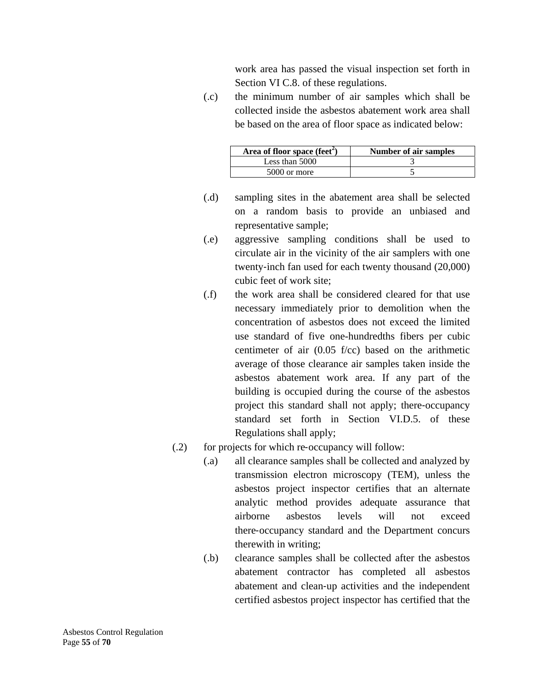work area has passed the visual inspection set forth in Section VI C.8. of these regulations.

(.c) the minimum number of air samples which shall be collected inside the asbestos abatement work area shall be based on the area of floor space as indicated below:

| Area of floor space (feet <sup><math>\angle</math></sup> ) | <b>Number of air samples</b> |
|------------------------------------------------------------|------------------------------|
| Less than 5000                                             |                              |
| 5000 or more                                               |                              |

- (.d) sampling sites in the abatement area shall be selected on a random basis to provide an unbiased and representative sample;
- (.e) aggressive sampling conditions shall be used to circulate air in the vicinity of the air samplers with one twenty‐inch fan used for each twenty thousand (20,000) cubic feet of work site;
- (.f) the work area shall be considered cleared for that use necessary immediately prior to demolition when the concentration of asbestos does not exceed the limited use standard of five one-hundredths fibers per cubic centimeter of air (0.05 f/cc) based on the arithmetic average of those clearance air samples taken inside the asbestos abatement work area. If any part of the building is occupied during the course of the asbestos project this standard shall not apply; there‐occupancy standard set forth in Section VI.D.5. of these Regulations shall apply;
- (.2) for projects for which re-occupancy will follow:
	- (.a) all clearance samples shall be collected and analyzed by transmission electron microscopy (TEM), unless the asbestos project inspector certifies that an alternate analytic method provides adequate assurance that airborne asbestos levels will not exceed there‐occupancy standard and the Department concurs therewith in writing;
	- (.b) clearance samples shall be collected after the asbestos abatement contractor has completed all asbestos abatement and clean‐up activities and the independent certified asbestos project inspector has certified that the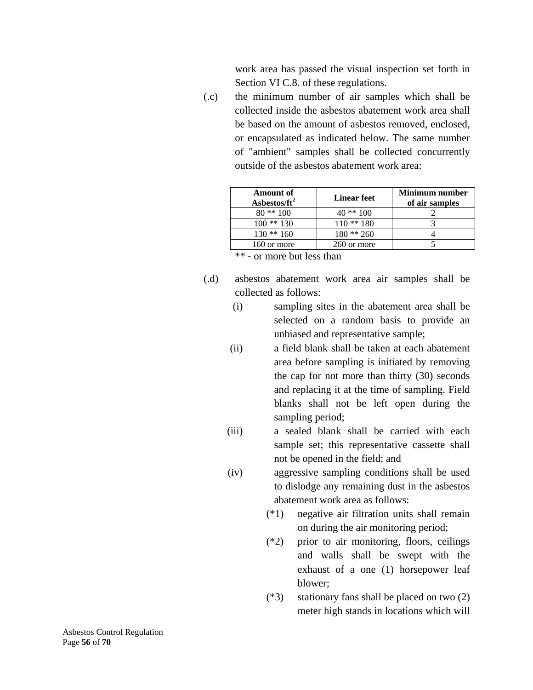work area has passed the visual inspection set forth in Section VI C.8. of these regulations.

(.c) the minimum number of air samples which shall be collected inside the asbestos abatement work area shall be based on the amount of asbestos removed, enclosed, or encapsulated as indicated below. The same number of "ambient" samples shall be collected concurrently outside of the asbestos abatement work area:

| Amount of<br>Asbestos/ft <sup>2</sup> | <b>Linear feet</b> | <b>Minimum</b> number<br>of air samples |
|---------------------------------------|--------------------|-----------------------------------------|
| $80**100$                             | 40 ** 100          |                                         |
| $100**130$                            | $110**180$         |                                         |
| $130**160$                            | $180**260$         |                                         |
| 160 or more                           | 260 or more        |                                         |

\*\* ‐ or more but less than

- (.d) asbestos abatement work area air samples shall be collected as follows:
	- (i) sampling sites in the abatement area shall be selected on a random basis to provide an unbiased and representative sample;
	- (ii) a field blank shall be taken at each abatement area before sampling is initiated by removing the cap for not more than thirty (30) seconds and replacing it at the time of sampling. Field blanks shall not be left open during the sampling period;
	- (iii) a sealed blank shall be carried with each sample set; this representative cassette shall not be opened in the field; and
	- (iv) aggressive sampling conditions shall be used to dislodge any remaining dust in the asbestos abatement work area as follows:
		- (\*1) negative air filtration units shall remain on during the air monitoring period;
		- (\*2) prior to air monitoring, floors, ceilings and walls shall be swept with the exhaust of a one (1) horsepower leaf blower;
		- (\*3) stationary fans shall be placed on two (2) meter high stands in locations which will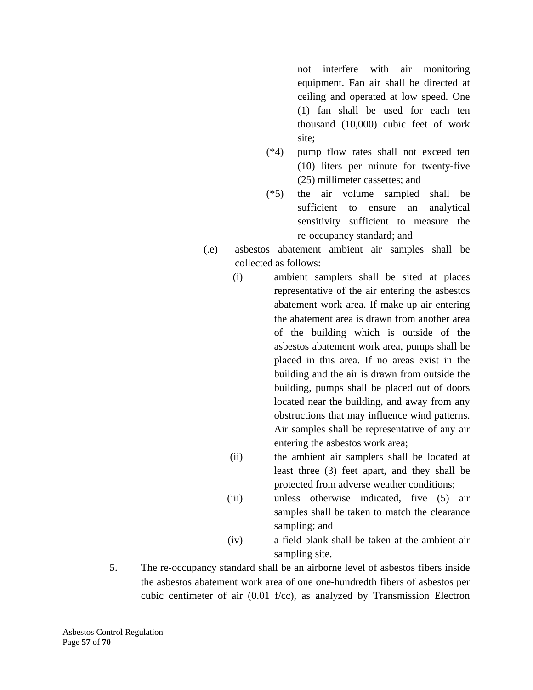not interfere with air monitoring equipment. Fan air shall be directed at ceiling and operated at low speed. One (1) fan shall be used for each ten thousand (10,000) cubic feet of work site;

- (\*4) pump flow rates shall not exceed ten (10) liters per minute for twenty‐five (25) millimeter cassettes; and
- (\*5) the air volume sampled shall be sufficient to ensure an analytical sensitivity sufficient to measure the re‐occupancy standard; and
- (.e) asbestos abatement ambient air samples shall be collected as follows:
	- (i) ambient samplers shall be sited at places representative of the air entering the asbestos abatement work area. If make‐up air entering the abatement area is drawn from another area of the building which is outside of the asbestos abatement work area, pumps shall be placed in this area. If no areas exist in the building and the air is drawn from outside the building, pumps shall be placed out of doors located near the building, and away from any obstructions that may influence wind patterns. Air samples shall be representative of any air entering the asbestos work area;
	- (ii) the ambient air samplers shall be located at least three (3) feet apart, and they shall be protected from adverse weather conditions;
	- (iii) unless otherwise indicated, five (5) air samples shall be taken to match the clearance sampling; and
	- (iv) a field blank shall be taken at the ambient air sampling site.
- 5. The re‐occupancy standard shall be an airborne level of asbestos fibers inside the asbestos abatement work area of one one‐hundredth fibers of asbestos per cubic centimeter of air (0.01 f/cc), as analyzed by Transmission Electron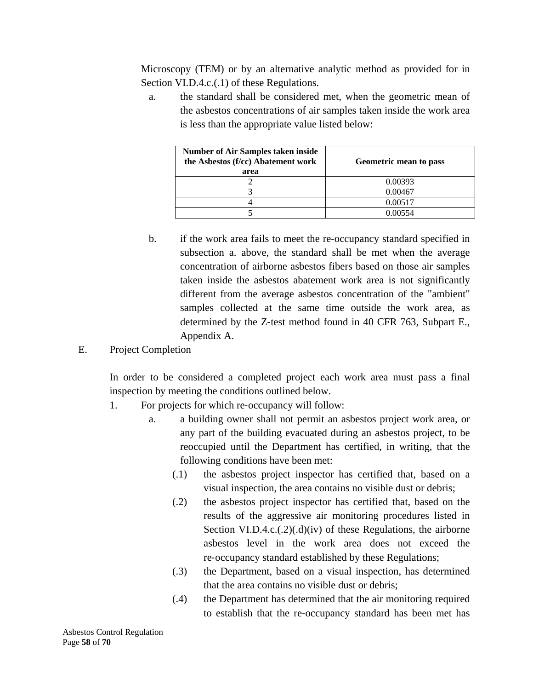Microscopy (TEM) or by an alternative analytic method as provided for in Section VI.D.4.c.(1) of these Regulations.

a. the standard shall be considered met, when the geometric mean of the asbestos concentrations of air samples taken inside the work area is less than the appropriate value listed below:

| <b>Number of Air Samples taken inside</b><br>the Asbestos (f/cc) Abatement work<br>area | Geometric mean to pass |
|-----------------------------------------------------------------------------------------|------------------------|
|                                                                                         | 0.00393                |
|                                                                                         | 0.00467                |
|                                                                                         | 0.00517                |
|                                                                                         | በ በበ554                |

- b. if the work area fails to meet the re-occupancy standard specified in subsection a. above, the standard shall be met when the average concentration of airborne asbestos fibers based on those air samples taken inside the asbestos abatement work area is not significantly different from the average asbestos concentration of the "ambient" samples collected at the same time outside the work area, as determined by the Z‐test method found in 40 CFR 763, Subpart E., Appendix A.
- E. Project Completion

In order to be considered a completed project each work area must pass a final inspection by meeting the conditions outlined below.

- 1. For projects for which re-occupancy will follow:
	- a. a building owner shall not permit an asbestos project work area, or any part of the building evacuated during an asbestos project, to be reoccupied until the Department has certified, in writing, that the following conditions have been met:
		- (.1) the asbestos project inspector has certified that, based on a visual inspection, the area contains no visible dust or debris;
		- (.2) the asbestos project inspector has certified that, based on the results of the aggressive air monitoring procedures listed in Section VI.D.4.c. $(0.2)(0.1)(iv)$  of these Regulations, the airborne asbestos level in the work area does not exceed the re‐occupancy standard established by these Regulations;
		- (.3) the Department, based on a visual inspection, has determined that the area contains no visible dust or debris;
		- (.4) the Department has determined that the air monitoring required to establish that the re‐occupancy standard has been met has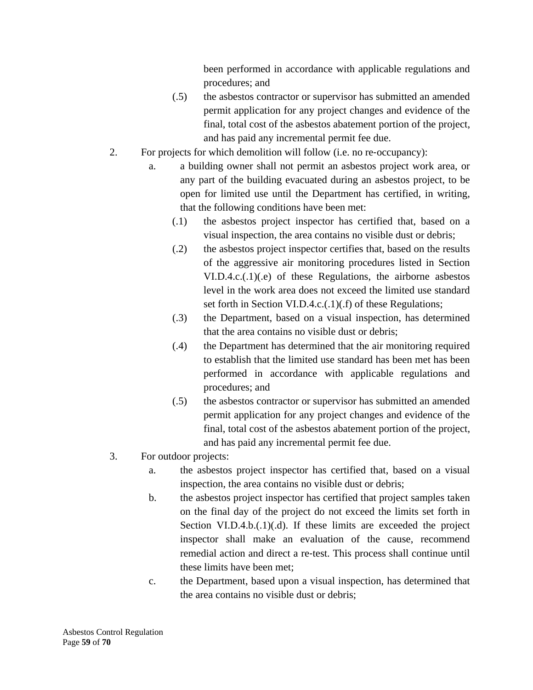been performed in accordance with applicable regulations and procedures; and

- (.5) the asbestos contractor or supervisor has submitted an amended permit application for any project changes and evidence of the final, total cost of the asbestos abatement portion of the project, and has paid any incremental permit fee due.
- 2. For projects for which demolition will follow (i.e. no re‐occupancy):
	- a. a building owner shall not permit an asbestos project work area, or any part of the building evacuated during an asbestos project, to be open for limited use until the Department has certified, in writing, that the following conditions have been met:
		- (.1) the asbestos project inspector has certified that, based on a visual inspection, the area contains no visible dust or debris;
		- (.2) the asbestos project inspector certifies that, based on the results of the aggressive air monitoring procedures listed in Section VI.D.4.c.(.1)(.e) of these Regulations, the airborne asbestos level in the work area does not exceed the limited use standard set forth in Section VI.D.4.c.(.1)(.f) of these Regulations;
		- (.3) the Department, based on a visual inspection, has determined that the area contains no visible dust or debris;
		- (.4) the Department has determined that the air monitoring required to establish that the limited use standard has been met has been performed in accordance with applicable regulations and procedures; and
		- (.5) the asbestos contractor or supervisor has submitted an amended permit application for any project changes and evidence of the final, total cost of the asbestos abatement portion of the project, and has paid any incremental permit fee due.
- 3. For outdoor projects:
	- a. the asbestos project inspector has certified that, based on a visual inspection, the area contains no visible dust or debris;
	- b. the asbestos project inspector has certified that project samples taken on the final day of the project do not exceed the limits set forth in Section VI.D.4.b. $(0.1)(0.1)$ . If these limits are exceeded the project inspector shall make an evaluation of the cause, recommend remedial action and direct a re‐test. This process shall continue until these limits have been met;
	- c. the Department, based upon a visual inspection, has determined that the area contains no visible dust or debris;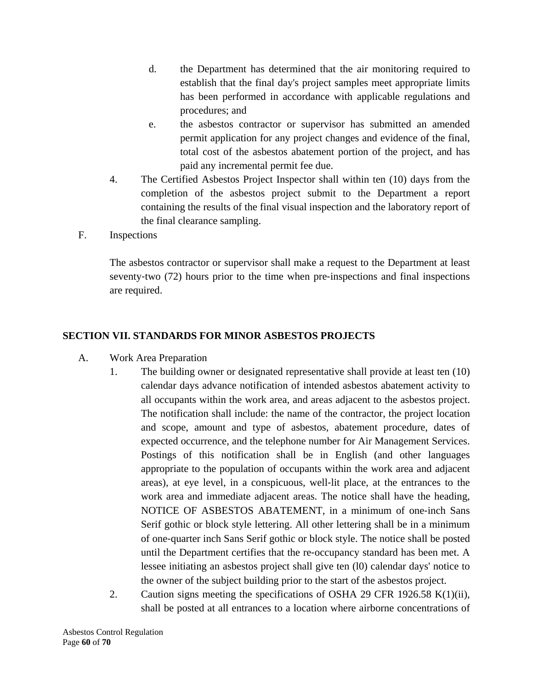- d. the Department has determined that the air monitoring required to establish that the final day's project samples meet appropriate limits has been performed in accordance with applicable regulations and procedures; and
- e. the asbestos contractor or supervisor has submitted an amended permit application for any project changes and evidence of the final, total cost of the asbestos abatement portion of the project, and has paid any incremental permit fee due.
- 4. The Certified Asbestos Project Inspector shall within ten (10) days from the completion of the asbestos project submit to the Department a report containing the results of the final visual inspection and the laboratory report of the final clearance sampling.
- F. Inspections

The asbestos contractor or supervisor shall make a request to the Department at least seventy-two (72) hours prior to the time when pre-inspections and final inspections are required.

### **SECTION VII. STANDARDS FOR MINOR ASBESTOS PROJECTS**

- A. Work Area Preparation
	- 1. The building owner or designated representative shall provide at least ten (10) calendar days advance notification of intended asbestos abatement activity to all occupants within the work area, and areas adjacent to the asbestos project. The notification shall include: the name of the contractor, the project location and scope, amount and type of asbestos, abatement procedure, dates of expected occurrence, and the telephone number for Air Management Services. Postings of this notification shall be in English (and other languages appropriate to the population of occupants within the work area and adjacent areas), at eye level, in a conspicuous, well‐lit place, at the entrances to the work area and immediate adjacent areas. The notice shall have the heading, NOTICE OF ASBESTOS ABATEMENT, in a minimum of one‐inch Sans Serif gothic or block style lettering. All other lettering shall be in a minimum of one‐quarter inch Sans Serif gothic or block style. The notice shall be posted until the Department certifies that the re‐occupancy standard has been met. A lessee initiating an asbestos project shall give ten (l0) calendar days' notice to the owner of the subject building prior to the start of the asbestos project.
	- 2. Caution signs meeting the specifications of OSHA 29 CFR 1926.58 K(1)(ii), shall be posted at all entrances to a location where airborne concentrations of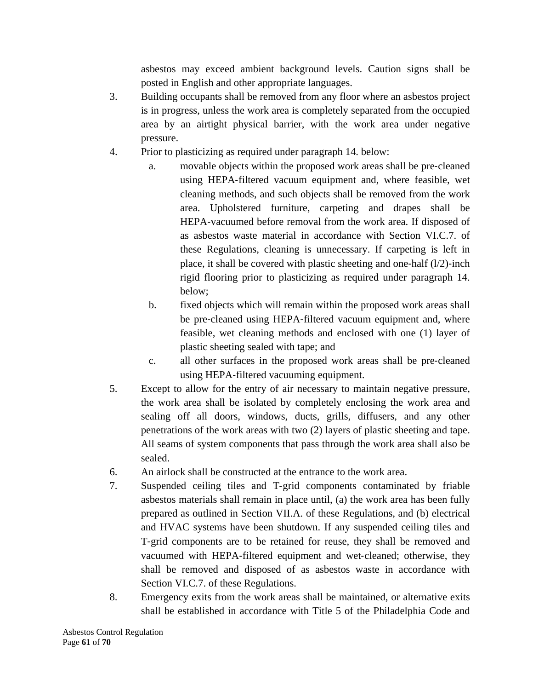asbestos may exceed ambient background levels. Caution signs shall be posted in English and other appropriate languages.

- 3. Building occupants shall be removed from any floor where an asbestos project is in progress, unless the work area is completely separated from the occupied area by an airtight physical barrier, with the work area under negative pressure.
- 4. Prior to plasticizing as required under paragraph 14. below:
	- a. movable objects within the proposed work areas shall be pre‐cleaned using HEPA‐filtered vacuum equipment and, where feasible, wet cleaning methods, and such objects shall be removed from the work area. Upholstered furniture, carpeting and drapes shall be HEPA-vacuumed before removal from the work area. If disposed of as asbestos waste material in accordance with Section VI.C.7. of these Regulations, cleaning is unnecessary. If carpeting is left in place, it shall be covered with plastic sheeting and one-half  $(l/2)$ -inch rigid flooring prior to plasticizing as required under paragraph 14. below;
	- b. fixed objects which will remain within the proposed work areas shall be pre-cleaned using HEPA-filtered vacuum equipment and, where feasible, wet cleaning methods and enclosed with one (1) layer of plastic sheeting sealed with tape; and
	- c. all other surfaces in the proposed work areas shall be pre‐cleaned using HEPA‐filtered vacuuming equipment.
- 5. Except to allow for the entry of air necessary to maintain negative pressure, the work area shall be isolated by completely enclosing the work area and sealing off all doors, windows, ducts, grills, diffusers, and any other penetrations of the work areas with two (2) layers of plastic sheeting and tape. All seams of system components that pass through the work area shall also be sealed.
- 6. An airlock shall be constructed at the entrance to the work area.
- 7. Suspended ceiling tiles and T‐grid components contaminated by friable asbestos materials shall remain in place until, (a) the work area has been fully prepared as outlined in Section VII.A. of these Regulations, and (b) electrical and HVAC systems have been shutdown. If any suspended ceiling tiles and T‐grid components are to be retained for reuse, they shall be removed and vacuumed with HEPA‐filtered equipment and wet‐cleaned; otherwise, they shall be removed and disposed of as asbestos waste in accordance with Section VI.C.7. of these Regulations.
- 8. Emergency exits from the work areas shall be maintained, or alternative exits shall be established in accordance with Title 5 of the Philadelphia Code and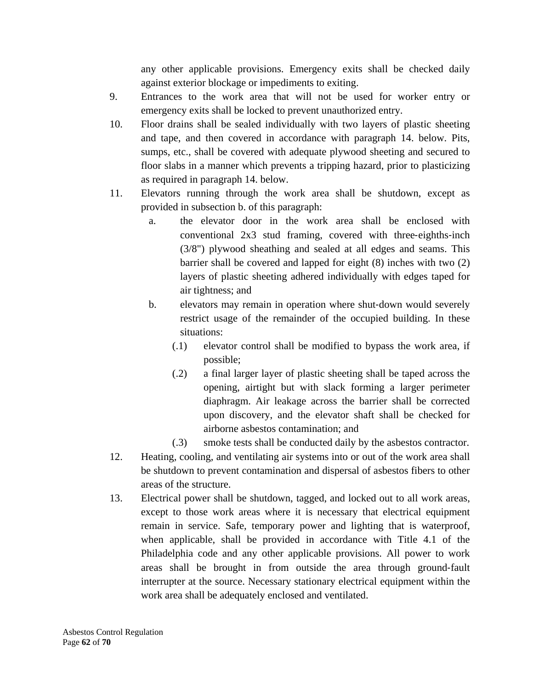any other applicable provisions. Emergency exits shall be checked daily against exterior blockage or impediments to exiting.

- 9. Entrances to the work area that will not be used for worker entry or emergency exits shall be locked to prevent unauthorized entry.
- 10. Floor drains shall be sealed individually with two layers of plastic sheeting and tape, and then covered in accordance with paragraph 14. below. Pits, sumps, etc., shall be covered with adequate plywood sheeting and secured to floor slabs in a manner which prevents a tripping hazard, prior to plasticizing as required in paragraph 14. below.
- 11. Elevators running through the work area shall be shutdown, except as provided in subsection b. of this paragraph:
	- a. the elevator door in the work area shall be enclosed with conventional 2x3 stud framing, covered with three-eighths-inch (3/8") plywood sheathing and sealed at all edges and seams. This barrier shall be covered and lapped for eight (8) inches with two (2) layers of plastic sheeting adhered individually with edges taped for air tightness; and
	- b. elevators may remain in operation where shut-down would severely restrict usage of the remainder of the occupied building. In these situations:
		- (.1) elevator control shall be modified to bypass the work area, if possible;
		- (.2) a final larger layer of plastic sheeting shall be taped across the opening, airtight but with slack forming a larger perimeter diaphragm. Air leakage across the barrier shall be corrected upon discovery, and the elevator shaft shall be checked for airborne asbestos contamination; and
		- (.3) smoke tests shall be conducted daily by the asbestos contractor.
- 12. Heating, cooling, and ventilating air systems into or out of the work area shall be shutdown to prevent contamination and dispersal of asbestos fibers to other areas of the structure.
- 13. Electrical power shall be shutdown, tagged, and locked out to all work areas, except to those work areas where it is necessary that electrical equipment remain in service. Safe, temporary power and lighting that is waterproof, when applicable, shall be provided in accordance with Title 4.1 of the Philadelphia code and any other applicable provisions. All power to work areas shall be brought in from outside the area through ground‐fault interrupter at the source. Necessary stationary electrical equipment within the work area shall be adequately enclosed and ventilated.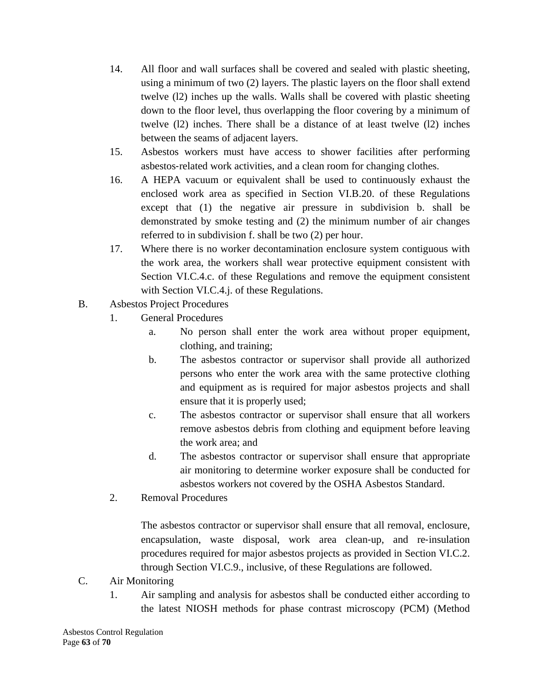- 14. All floor and wall surfaces shall be covered and sealed with plastic sheeting, using a minimum of two (2) layers. The plastic layers on the floor shall extend twelve (l2) inches up the walls. Walls shall be covered with plastic sheeting down to the floor level, thus overlapping the floor covering by a minimum of twelve (l2) inches. There shall be a distance of at least twelve (l2) inches between the seams of adjacent layers.
- 15. Asbestos workers must have access to shower facilities after performing asbestos‐related work activities, and a clean room for changing clothes.
- 16. A HEPA vacuum or equivalent shall be used to continuously exhaust the enclosed work area as specified in Section VI.B.20. of these Regulations except that (1) the negative air pressure in subdivision b. shall be demonstrated by smoke testing and (2) the minimum number of air changes referred to in subdivision f. shall be two (2) per hour.
- 17. Where there is no worker decontamination enclosure system contiguous with the work area, the workers shall wear protective equipment consistent with Section VI.C.4.c. of these Regulations and remove the equipment consistent with Section VI.C.4.j. of these Regulations.
- B. Asbestos Project Procedures
	- 1. General Procedures
		- a. No person shall enter the work area without proper equipment, clothing, and training;
		- b. The asbestos contractor or supervisor shall provide all authorized persons who enter the work area with the same protective clothing and equipment as is required for major asbestos projects and shall ensure that it is properly used;
		- c. The asbestos contractor or supervisor shall ensure that all workers remove asbestos debris from clothing and equipment before leaving the work area; and
		- d. The asbestos contractor or supervisor shall ensure that appropriate air monitoring to determine worker exposure shall be conducted for asbestos workers not covered by the OSHA Asbestos Standard.
	- 2. Removal Procedures

The asbestos contractor or supervisor shall ensure that all removal, enclosure, encapsulation, waste disposal, work area clean-up, and re-insulation procedures required for major asbestos projects as provided in Section VI.C.2. through Section VI.C.9., inclusive, of these Regulations are followed.

- C. Air Monitoring
	- 1. Air sampling and analysis for asbestos shall be conducted either according to the latest NIOSH methods for phase contrast microscopy (PCM) (Method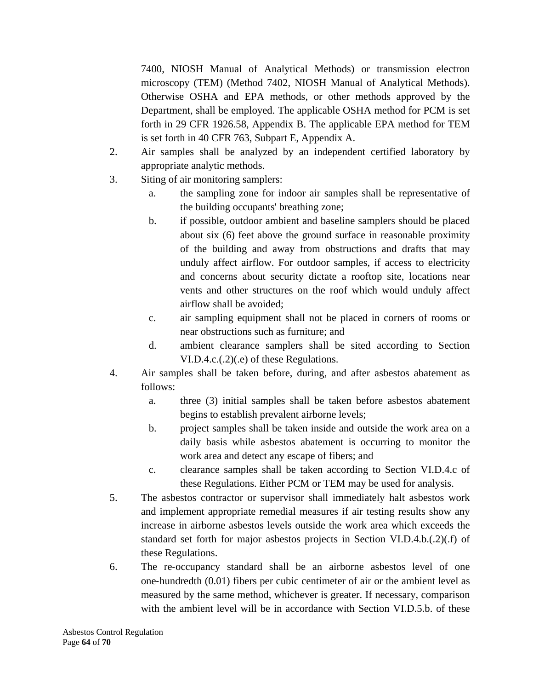7400, NIOSH Manual of Analytical Methods) or transmission electron microscopy (TEM) (Method 7402, NIOSH Manual of Analytical Methods). Otherwise OSHA and EPA methods, or other methods approved by the Department, shall be employed. The applicable OSHA method for PCM is set forth in 29 CFR 1926.58, Appendix B. The applicable EPA method for TEM is set forth in 40 CFR 763, Subpart E, Appendix A.

- 2. Air samples shall be analyzed by an independent certified laboratory by appropriate analytic methods.
- 3. Siting of air monitoring samplers:
	- a. the sampling zone for indoor air samples shall be representative of the building occupants' breathing zone;
	- b. if possible, outdoor ambient and baseline samplers should be placed about six (6) feet above the ground surface in reasonable proximity of the building and away from obstructions and drafts that may unduly affect airflow. For outdoor samples, if access to electricity and concerns about security dictate a rooftop site, locations near vents and other structures on the roof which would unduly affect airflow shall be avoided;
	- c. air sampling equipment shall not be placed in corners of rooms or near obstructions such as furniture; and
	- d. ambient clearance samplers shall be sited according to Section VI.D.4.c.(.2)(.e) of these Regulations.
- 4. Air samples shall be taken before, during, and after asbestos abatement as follows:
	- a. three (3) initial samples shall be taken before asbestos abatement begins to establish prevalent airborne levels;
	- b. project samples shall be taken inside and outside the work area on a daily basis while asbestos abatement is occurring to monitor the work area and detect any escape of fibers; and
	- c. clearance samples shall be taken according to Section VI.D.4.c of these Regulations. Either PCM or TEM may be used for analysis.
- 5. The asbestos contractor or supervisor shall immediately halt asbestos work and implement appropriate remedial measures if air testing results show any increase in airborne asbestos levels outside the work area which exceeds the standard set forth for major asbestos projects in Section VI.D.4.b.(.2)(.f) of these Regulations.
- 6. The re‐occupancy standard shall be an airborne asbestos level of one one‐hundredth (0.01) fibers per cubic centimeter of air or the ambient level as measured by the same method, whichever is greater. If necessary, comparison with the ambient level will be in accordance with Section VI.D.5.b. of these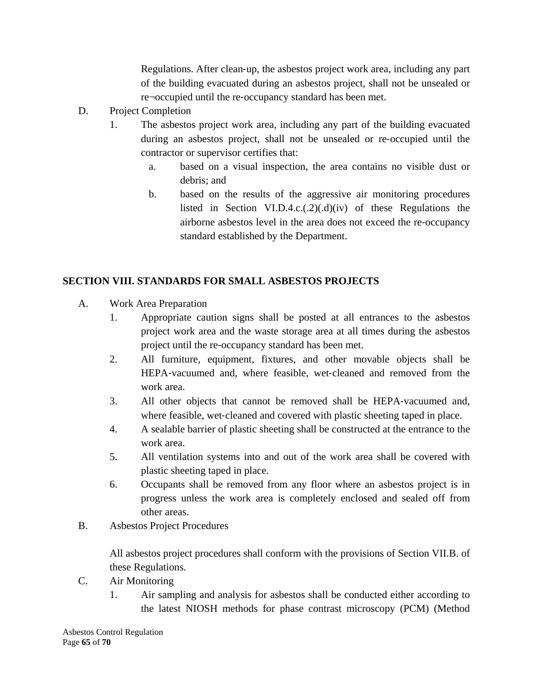Regulations. After clean‐up, the asbestos project work area, including any part of the building evacuated during an asbestos project, shall not be unsealed or re¬occupied until the re‐occupancy standard has been met.

- D. Project Completion
	- 1. The asbestos project work area, including any part of the building evacuated during an asbestos project, shall not be unsealed or re‐occupied until the contractor or supervisor certifies that:
		- a. based on a visual inspection, the area contains no visible dust or debris; and
		- b. based on the results of the aggressive air monitoring procedures listed in Section VI.D.4.c.(.2)(.d)(iv) of these Regulations the airborne asbestos level in the area does not exceed the re‐occupancy standard established by the Department.

## **SECTION VIII. STANDARDS FOR SMALL ASBESTOS PROJECTS**

- A. Work Area Preparation
	- 1. Appropriate caution signs shall be posted at all entrances to the asbestos project work area and the waste storage area at all times during the asbestos project until the re‐occupancy standard has been met.
	- 2. All furniture, equipment, fixtures, and other movable objects shall be HEPA‐vacuumed and, where feasible, wet‐cleaned and removed from the work area.
	- 3. All other objects that cannot be removed shall be HEPA‐vacuumed and, where feasible, wet-cleaned and covered with plastic sheeting taped in place.
	- 4. A sealable barrier of plastic sheeting shall be constructed at the entrance to the work area.
	- 5. All ventilation systems into and out of the work area shall be covered with plastic sheeting taped in place.
	- 6. Occupants shall be removed from any floor where an asbestos project is in progress unless the work area is completely enclosed and sealed off from other areas.
- B. Asbestos Project Procedures

All asbestos project procedures shall conform with the provisions of Section VII.B. of these Regulations.

- C. Air Monitoring
	- 1. Air sampling and analysis for asbestos shall be conducted either according to the latest NIOSH methods for phase contrast microscopy (PCM) (Method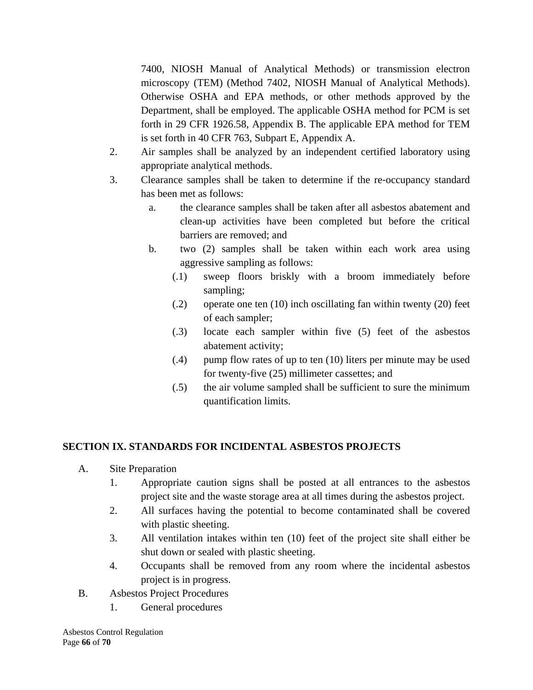7400, NIOSH Manual of Analytical Methods) or transmission electron microscopy (TEM) (Method 7402, NIOSH Manual of Analytical Methods). Otherwise OSHA and EPA methods, or other methods approved by the Department, shall be employed. The applicable OSHA method for PCM is set forth in 29 CFR 1926.58, Appendix B. The applicable EPA method for TEM is set forth in 40 CFR 763, Subpart E, Appendix A.

- 2. Air samples shall be analyzed by an independent certified laboratory using appropriate analytical methods.
- 3. Clearance samples shall be taken to determine if the re‐occupancy standard has been met as follows:
	- a. the clearance samples shall be taken after all asbestos abatement and clean-up activities have been completed but before the critical barriers are removed; and
	- b. two (2) samples shall be taken within each work area using aggressive sampling as follows:
		- (.1) sweep floors briskly with a broom immediately before sampling;
		- (.2) operate one ten (10) inch oscillating fan within twenty (20) feet of each sampler;
		- (.3) locate each sampler within five (5) feet of the asbestos abatement activity;
		- (.4) pump flow rates of up to ten (10) liters per minute may be used for twenty‐five (25) millimeter cassettes; and
		- (.5) the air volume sampled shall be sufficient to sure the minimum quantification limits.

## **SECTION IX. STANDARDS FOR INCIDENTAL ASBESTOS PROJECTS**

- A. Site Preparation
	- 1. Appropriate caution signs shall be posted at all entrances to the asbestos project site and the waste storage area at all times during the asbestos project.
	- 2. All surfaces having the potential to become contaminated shall be covered with plastic sheeting.
	- 3. All ventilation intakes within ten (10) feet of the project site shall either be shut down or sealed with plastic sheeting.
	- 4. Occupants shall be removed from any room where the incidental asbestos project is in progress.
- B. Asbestos Project Procedures
	- 1. General procedures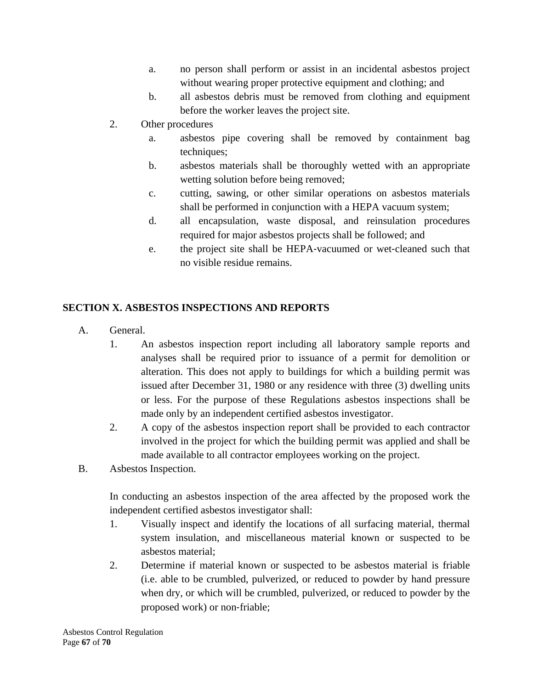- a. no person shall perform or assist in an incidental asbestos project without wearing proper protective equipment and clothing; and
- b. all asbestos debris must be removed from clothing and equipment before the worker leaves the project site.
- 2. Other procedures
	- a. asbestos pipe covering shall be removed by containment bag techniques;
	- b. asbestos materials shall be thoroughly wetted with an appropriate wetting solution before being removed;
	- c. cutting, sawing, or other similar operations on asbestos materials shall be performed in conjunction with a HEPA vacuum system;
	- d. all encapsulation, waste disposal, and reinsulation procedures required for major asbestos projects shall be followed; and
	- e. the project site shall be HEPA‐vacuumed or wet‐cleaned such that no visible residue remains.

## **SECTION X. ASBESTOS INSPECTIONS AND REPORTS**

- A. General.
	- 1. An asbestos inspection report including all laboratory sample reports and analyses shall be required prior to issuance of a permit for demolition or alteration. This does not apply to buildings for which a building permit was issued after December 31, 1980 or any residence with three (3) dwelling units or less. For the purpose of these Regulations asbestos inspections shall be made only by an independent certified asbestos investigator.
	- 2. A copy of the asbestos inspection report shall be provided to each contractor involved in the project for which the building permit was applied and shall be made available to all contractor employees working on the project.
- B. Asbestos Inspection.

In conducting an asbestos inspection of the area affected by the proposed work the independent certified asbestos investigator shall:

- 1. Visually inspect and identify the locations of all surfacing material, thermal system insulation, and miscellaneous material known or suspected to be asbestos material;
- 2. Determine if material known or suspected to be asbestos material is friable (i.e. able to be crumbled, pulverized, or reduced to powder by hand pressure when dry, or which will be crumbled, pulverized, or reduced to powder by the proposed work) or non‐friable;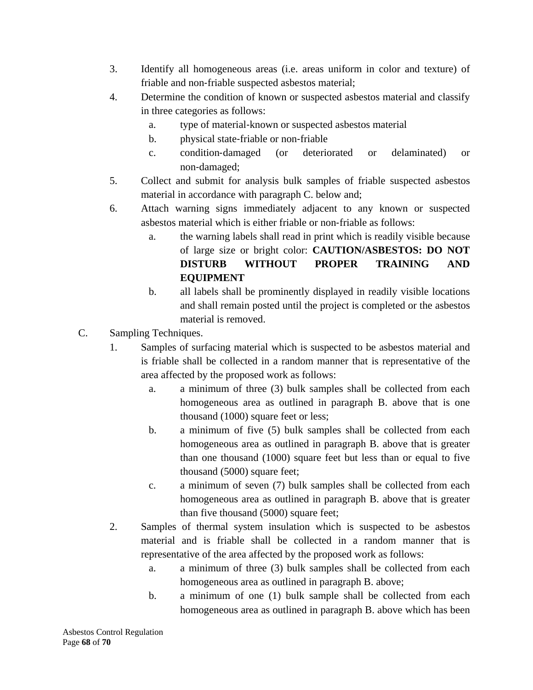- 3. Identify all homogeneous areas (i.e. areas uniform in color and texture) of friable and non‐friable suspected asbestos material;
- 4. Determine the condition of known or suspected asbestos material and classify in three categories as follows:
	- a. type of material‐known or suspected asbestos material
	- b. physical state‐friable or non‐friable
	- c. condition‐damaged (or deteriorated or delaminated) or non‐damaged;
- 5. Collect and submit for analysis bulk samples of friable suspected asbestos material in accordance with paragraph C. below and;
- 6. Attach warning signs immediately adjacent to any known or suspected asbestos material which is either friable or non‐friable as follows:
	- a. the warning labels shall read in print which is readily visible because of large size or bright color: **CAUTION/ASBESTOS: DO NOT DISTURB WITHOUT PROPER TRAINING AND EQUIPMENT**
	- b. all labels shall be prominently displayed in readily visible locations and shall remain posted until the project is completed or the asbestos material is removed.
- C. Sampling Techniques.
	- 1. Samples of surfacing material which is suspected to be asbestos material and is friable shall be collected in a random manner that is representative of the area affected by the proposed work as follows:
		- a. a minimum of three (3) bulk samples shall be collected from each homogeneous area as outlined in paragraph B. above that is one thousand (1000) square feet or less;
		- b. a minimum of five (5) bulk samples shall be collected from each homogeneous area as outlined in paragraph B. above that is greater than one thousand (1000) square feet but less than or equal to five thousand (5000) square feet;
		- c. a minimum of seven (7) bulk samples shall be collected from each homogeneous area as outlined in paragraph B. above that is greater than five thousand (5000) square feet;
	- 2. Samples of thermal system insulation which is suspected to be asbestos material and is friable shall be collected in a random manner that is representative of the area affected by the proposed work as follows:
		- a. a minimum of three (3) bulk samples shall be collected from each homogeneous area as outlined in paragraph B. above;
		- b. a minimum of one (1) bulk sample shall be collected from each homogeneous area as outlined in paragraph B. above which has been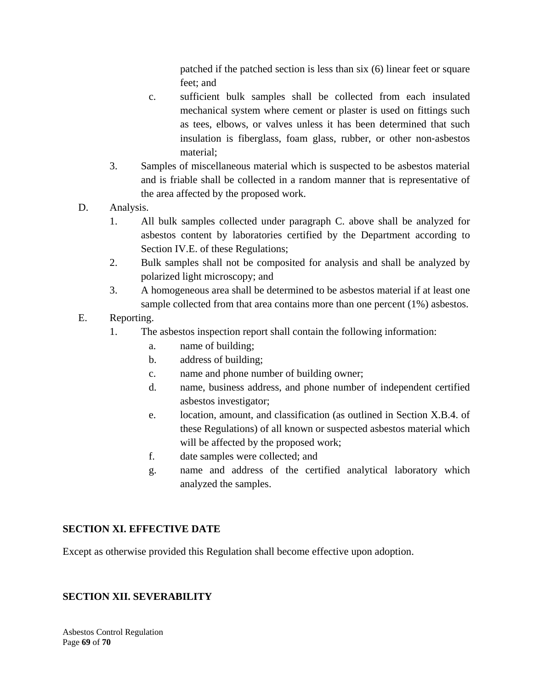patched if the patched section is less than six (6) linear feet or square feet; and

- c. sufficient bulk samples shall be collected from each insulated mechanical system where cement or plaster is used on fittings such as tees, elbows, or valves unless it has been determined that such insulation is fiberglass, foam glass, rubber, or other non‐asbestos material;
- 3. Samples of miscellaneous material which is suspected to be asbestos material and is friable shall be collected in a random manner that is representative of the area affected by the proposed work.
- D. Analysis.
	- 1. All bulk samples collected under paragraph C. above shall be analyzed for asbestos content by laboratories certified by the Department according to Section IV.E. of these Regulations;
	- 2. Bulk samples shall not be composited for analysis and shall be analyzed by polarized light microscopy; and
	- 3. A homogeneous area shall be determined to be asbestos material if at least one sample collected from that area contains more than one percent (1%) asbestos.
- E. Reporting.
	- 1. The asbestos inspection report shall contain the following information:
		- a. name of building;
		- b. address of building;
		- c. name and phone number of building owner;
		- d. name, business address, and phone number of independent certified asbestos investigator;
		- e. location, amount, and classification (as outlined in Section X.B.4. of these Regulations) of all known or suspected asbestos material which will be affected by the proposed work;
		- f. date samples were collected; and
		- g. name and address of the certified analytical laboratory which analyzed the samples.

## **SECTION XI. EFFECTIVE DATE**

Except as otherwise provided this Regulation shall become effective upon adoption.

### **SECTION XII. SEVERABILITY**